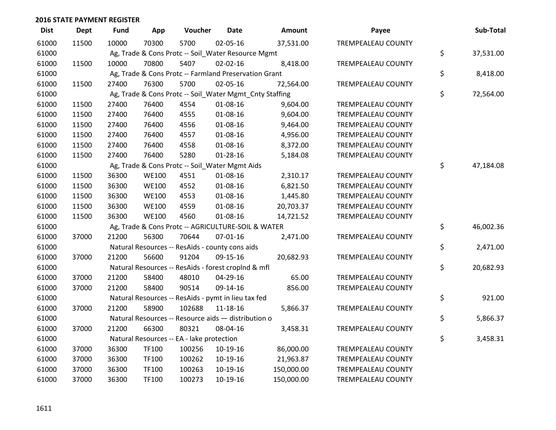| <b>Dist</b> | <b>Dept</b> | Fund  | App          | Voucher                                                 | <b>Date</b>    | Amount     | Payee                     | Sub-Total       |
|-------------|-------------|-------|--------------|---------------------------------------------------------|----------------|------------|---------------------------|-----------------|
| 61000       | 11500       | 10000 | 70300        | 5700                                                    | 02-05-16       | 37,531.00  | TREMPEALEAU COUNTY        |                 |
| 61000       |             |       |              | Ag, Trade & Cons Protc -- Soil_Water Resource Mgmt      |                |            |                           | \$<br>37,531.00 |
| 61000       | 11500       | 10000 | 70800        | 5407                                                    | $02 - 02 - 16$ | 8,418.00   | TREMPEALEAU COUNTY        |                 |
| 61000       |             |       |              | Ag, Trade & Cons Protc -- Farmland Preservation Grant   |                |            |                           | \$<br>8,418.00  |
| 61000       | 11500       | 27400 | 76300        | 5700                                                    | 02-05-16       | 72,564.00  | TREMPEALEAU COUNTY        |                 |
| 61000       |             |       |              | Ag, Trade & Cons Protc -- Soil_Water Mgmt_Cnty Staffing |                |            |                           | \$<br>72,564.00 |
| 61000       | 11500       | 27400 | 76400        | 4554                                                    | 01-08-16       | 9,604.00   | TREMPEALEAU COUNTY        |                 |
| 61000       | 11500       | 27400 | 76400        | 4555                                                    | 01-08-16       | 9,604.00   | TREMPEALEAU COUNTY        |                 |
| 61000       | 11500       | 27400 | 76400        | 4556                                                    | 01-08-16       | 9,464.00   | TREMPEALEAU COUNTY        |                 |
| 61000       | 11500       | 27400 | 76400        | 4557                                                    | 01-08-16       | 4,956.00   | <b>TREMPEALEAU COUNTY</b> |                 |
| 61000       | 11500       | 27400 | 76400        | 4558                                                    | 01-08-16       | 8,372.00   | TREMPEALEAU COUNTY        |                 |
| 61000       | 11500       | 27400 | 76400        | 5280                                                    | $01 - 28 - 16$ | 5,184.08   | TREMPEALEAU COUNTY        |                 |
| 61000       |             |       |              | Ag, Trade & Cons Protc -- Soil_Water Mgmt Aids          |                |            |                           | \$<br>47,184.08 |
| 61000       | 11500       | 36300 | <b>WE100</b> | 4551                                                    | 01-08-16       | 2,310.17   | <b>TREMPEALEAU COUNTY</b> |                 |
| 61000       | 11500       | 36300 | <b>WE100</b> | 4552                                                    | 01-08-16       | 6,821.50   | <b>TREMPEALEAU COUNTY</b> |                 |
| 61000       | 11500       | 36300 | <b>WE100</b> | 4553                                                    | 01-08-16       | 1,445.80   | TREMPEALEAU COUNTY        |                 |
| 61000       | 11500       | 36300 | <b>WE100</b> | 4559                                                    | 01-08-16       | 20,703.37  | TREMPEALEAU COUNTY        |                 |
| 61000       | 11500       | 36300 | <b>WE100</b> | 4560                                                    | 01-08-16       | 14,721.52  | TREMPEALEAU COUNTY        |                 |
| 61000       |             |       |              | Ag, Trade & Cons Protc -- AGRICULTURE-SOIL & WATER      |                |            |                           | \$<br>46,002.36 |
| 61000       | 37000       | 21200 | 56300        | 70644                                                   | 07-01-16       | 2,471.00   | TREMPEALEAU COUNTY        |                 |
| 61000       |             |       |              | Natural Resources -- ResAids - county cons aids         |                |            |                           | \$<br>2,471.00  |
| 61000       | 37000       | 21200 | 56600        | 91204                                                   | 09-15-16       | 20,682.93  | TREMPEALEAU COUNTY        |                 |
| 61000       |             |       |              | Natural Resources -- ResAids - forest croplnd & mfl     |                |            |                           | \$<br>20,682.93 |
| 61000       | 37000       | 21200 | 58400        | 48010                                                   | 04-29-16       | 65.00      | TREMPEALEAU COUNTY        |                 |
| 61000       | 37000       | 21200 | 58400        | 90514                                                   | 09-14-16       | 856.00     | TREMPEALEAU COUNTY        |                 |
| 61000       |             |       |              | Natural Resources -- ResAids - pymt in lieu tax fed     |                |            |                           | \$<br>921.00    |
| 61000       | 37000       | 21200 | 58900        | 102688                                                  | 11-18-16       | 5,866.37   | TREMPEALEAU COUNTY        |                 |
| 61000       |             |       |              | Natural Resources -- Resource aids - distribution o     |                |            |                           | \$<br>5,866.37  |
| 61000       | 37000       | 21200 | 66300        | 80321                                                   | 08-04-16       | 3,458.31   | TREMPEALEAU COUNTY        |                 |
| 61000       |             |       |              | Natural Resources -- EA - lake protection               |                |            |                           | \$<br>3,458.31  |
| 61000       | 37000       | 36300 | <b>TF100</b> | 100256                                                  | 10-19-16       | 86,000.00  | TREMPEALEAU COUNTY        |                 |
| 61000       | 37000       | 36300 | <b>TF100</b> | 100262                                                  | 10-19-16       | 21,963.87  | TREMPEALEAU COUNTY        |                 |
| 61000       | 37000       | 36300 | <b>TF100</b> | 100263                                                  | 10-19-16       | 150,000.00 | TREMPEALEAU COUNTY        |                 |
| 61000       | 37000       | 36300 | TF100        | 100273                                                  | 10-19-16       | 150,000.00 | <b>TREMPEALEAU COUNTY</b> |                 |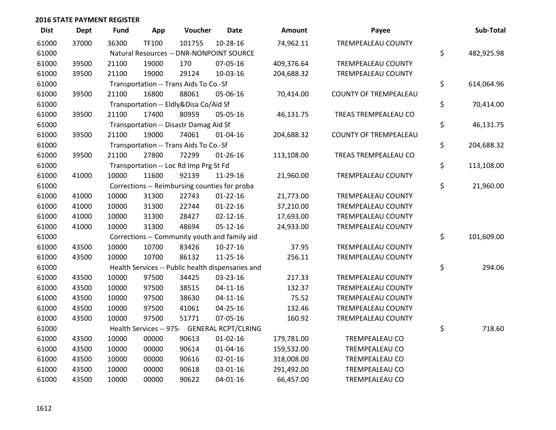| <b>Dist</b> | <b>Dept</b> | Fund  | App   | Voucher                                           | <b>Date</b>    | Amount     | Payee                        | Sub-Total        |
|-------------|-------------|-------|-------|---------------------------------------------------|----------------|------------|------------------------------|------------------|
| 61000       | 37000       | 36300 | TF100 | 101755                                            | 10-28-16       | 74,962.11  | TREMPEALEAU COUNTY           |                  |
| 61000       |             |       |       | Natural Resources -- DNR-NONPOINT SOURCE          |                |            |                              | \$<br>482,925.98 |
| 61000       | 39500       | 21100 | 19000 | 170                                               | 07-05-16       | 409,376.64 | TREMPEALEAU COUNTY           |                  |
| 61000       | 39500       | 21100 | 19000 | 29124                                             | 10-03-16       | 204,688.32 | <b>TREMPEALEAU COUNTY</b>    |                  |
| 61000       |             |       |       | Transportation -- Trans Aids To Co.-Sf            |                |            |                              | \$<br>614,064.96 |
| 61000       | 39500       | 21100 | 16800 | 88061                                             | 05-06-16       | 70,414.00  | <b>COUNTY OF TREMPEALEAU</b> |                  |
| 61000       |             |       |       | Transportation -- Eldly&Disa Co/Aid Sf            |                |            |                              | \$<br>70,414.00  |
| 61000       | 39500       | 21100 | 17400 | 80959                                             | 05-05-16       | 46,131.75  | TREAS TREMPEALEAU CO         |                  |
| 61000       |             |       |       | Transportation -- Disastr Damag Aid Sf            |                |            |                              | \$<br>46,131.75  |
| 61000       | 39500       | 21100 | 19000 | 74061                                             | $01 - 04 - 16$ | 204,688.32 | <b>COUNTY OF TREMPEALEAU</b> |                  |
| 61000       |             |       |       | Transportation -- Trans Aids To Co.-Sf            |                |            |                              | \$<br>204,688.32 |
| 61000       | 39500       | 21100 | 27800 | 72299                                             | $01 - 26 - 16$ | 113,108.00 | TREAS TREMPEALEAU CO         |                  |
| 61000       |             |       |       | Transportation -- Loc Rd Imp Prg St Fd            |                |            |                              | \$<br>113,108.00 |
| 61000       | 41000       | 10000 | 11600 | 92139                                             | 11-29-16       | 21,960.00  | <b>TREMPEALEAU COUNTY</b>    |                  |
| 61000       |             |       |       | Corrections -- Reimbursing counties for proba     |                |            |                              | \$<br>21,960.00  |
| 61000       | 41000       | 10000 | 31300 | 22743                                             | $01 - 22 - 16$ | 21,773.00  | TREMPEALEAU COUNTY           |                  |
| 61000       | 41000       | 10000 | 31300 | 22744                                             | $01 - 22 - 16$ | 37,210.00  | TREMPEALEAU COUNTY           |                  |
| 61000       | 41000       | 10000 | 31300 | 28427                                             | $02 - 12 - 16$ | 17,693.00  | TREMPEALEAU COUNTY           |                  |
| 61000       | 41000       | 10000 | 31300 | 48694                                             | $05-12-16$     | 24,933.00  | TREMPEALEAU COUNTY           |                  |
| 61000       |             |       |       | Corrections -- Community youth and family aid     |                |            |                              | \$<br>101,609.00 |
| 61000       | 43500       | 10000 | 10700 | 83426                                             | 10-27-16       | 37.95      | TREMPEALEAU COUNTY           |                  |
| 61000       | 43500       | 10000 | 10700 | 86132                                             | 11-25-16       | 256.11     | TREMPEALEAU COUNTY           |                  |
| 61000       |             |       |       | Health Services -- Public health dispensaries and |                |            |                              | \$<br>294.06     |
| 61000       | 43500       | 10000 | 97500 | 34425                                             | 03-23-16       | 217.33     | TREMPEALEAU COUNTY           |                  |
| 61000       | 43500       | 10000 | 97500 | 38515                                             | $04 - 11 - 16$ | 132.37     | TREMPEALEAU COUNTY           |                  |
| 61000       | 43500       | 10000 | 97500 | 38630                                             | $04 - 11 - 16$ | 75.52      | TREMPEALEAU COUNTY           |                  |
| 61000       | 43500       | 10000 | 97500 | 41061                                             | $04 - 25 - 16$ | 132.46     | <b>TREMPEALEAU COUNTY</b>    |                  |
| 61000       | 43500       | 10000 | 97500 | 51771                                             | 07-05-16       | 160.92     | TREMPEALEAU COUNTY           |                  |
| 61000       |             |       |       | Health Services -- 975- GENERAL RCPT/CLRING       |                |            |                              | \$<br>718.60     |
| 61000       | 43500       | 10000 | 00000 | 90613                                             | $01-02-16$     | 179,781.00 | TREMPEALEAU CO               |                  |
| 61000       | 43500       | 10000 | 00000 | 90614                                             | $01 - 04 - 16$ | 159,532.00 | <b>TREMPEALEAU CO</b>        |                  |
| 61000       | 43500       | 10000 | 00000 | 90616                                             | $02 - 01 - 16$ | 318,008.00 | TREMPEALEAU CO               |                  |
| 61000       | 43500       | 10000 | 00000 | 90618                                             | 03-01-16       | 291,492.00 | TREMPEALEAU CO               |                  |
| 61000       | 43500       | 10000 | 00000 | 90622                                             | 04-01-16       | 66,457.00  | TREMPEALEAU CO               |                  |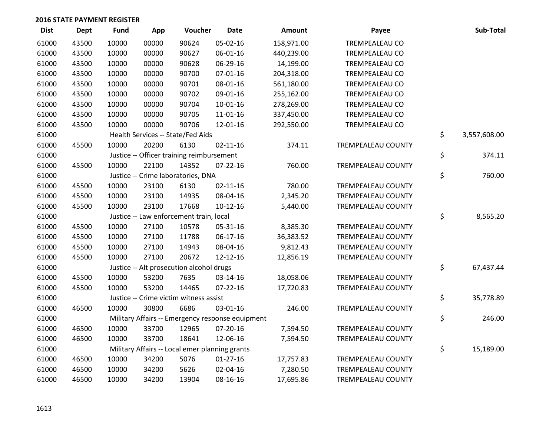| <b>Dist</b> | <b>Dept</b> | Fund  | App   | Voucher                                          | <b>Date</b>    | Amount     | Payee                     | Sub-Total          |
|-------------|-------------|-------|-------|--------------------------------------------------|----------------|------------|---------------------------|--------------------|
| 61000       | 43500       | 10000 | 00000 | 90624                                            | 05-02-16       | 158,971.00 | TREMPEALEAU CO            |                    |
| 61000       | 43500       | 10000 | 00000 | 90627                                            | 06-01-16       | 440,239.00 | TREMPEALEAU CO            |                    |
| 61000       | 43500       | 10000 | 00000 | 90628                                            | 06-29-16       | 14,199.00  | <b>TREMPEALEAU CO</b>     |                    |
| 61000       | 43500       | 10000 | 00000 | 90700                                            | $07 - 01 - 16$ | 204,318.00 | <b>TREMPEALEAU CO</b>     |                    |
| 61000       | 43500       | 10000 | 00000 | 90701                                            | 08-01-16       | 561,180.00 | <b>TREMPEALEAU CO</b>     |                    |
| 61000       | 43500       | 10000 | 00000 | 90702                                            | 09-01-16       | 255,162.00 | TREMPEALEAU CO            |                    |
| 61000       | 43500       | 10000 | 00000 | 90704                                            | 10-01-16       | 278,269.00 | TREMPEALEAU CO            |                    |
| 61000       | 43500       | 10000 | 00000 | 90705                                            | $11 - 01 - 16$ | 337,450.00 | TREMPEALEAU CO            |                    |
| 61000       | 43500       | 10000 | 00000 | 90706                                            | 12-01-16       | 292,550.00 | TREMPEALEAU CO            |                    |
| 61000       |             |       |       | Health Services -- State/Fed Aids                |                |            |                           | \$<br>3,557,608.00 |
| 61000       | 45500       | 10000 | 20200 | 6130                                             | $02 - 11 - 16$ | 374.11     | TREMPEALEAU COUNTY        |                    |
| 61000       |             |       |       | Justice -- Officer training reimbursement        |                |            |                           | \$<br>374.11       |
| 61000       | 45500       | 10000 | 22100 | 14352                                            | $07 - 22 - 16$ | 760.00     | <b>TREMPEALEAU COUNTY</b> |                    |
| 61000       |             |       |       | Justice -- Crime laboratories, DNA               |                |            |                           | \$<br>760.00       |
| 61000       | 45500       | 10000 | 23100 | 6130                                             | $02 - 11 - 16$ | 780.00     | <b>TREMPEALEAU COUNTY</b> |                    |
| 61000       | 45500       | 10000 | 23100 | 14935                                            | 08-04-16       | 2,345.20   | TREMPEALEAU COUNTY        |                    |
| 61000       | 45500       | 10000 | 23100 | 17668                                            | $10-12-16$     | 5,440.00   | <b>TREMPEALEAU COUNTY</b> |                    |
| 61000       |             |       |       | Justice -- Law enforcement train, local          |                |            |                           | \$<br>8,565.20     |
| 61000       | 45500       | 10000 | 27100 | 10578                                            | 05-31-16       | 8,385.30   | TREMPEALEAU COUNTY        |                    |
| 61000       | 45500       | 10000 | 27100 | 11788                                            | 06-17-16       | 36,383.52  | TREMPEALEAU COUNTY        |                    |
| 61000       | 45500       | 10000 | 27100 | 14943                                            | 08-04-16       | 9,812.43   | TREMPEALEAU COUNTY        |                    |
| 61000       | 45500       | 10000 | 27100 | 20672                                            | 12-12-16       | 12,856.19  | <b>TREMPEALEAU COUNTY</b> |                    |
| 61000       |             |       |       | Justice -- Alt prosecution alcohol drugs         |                |            |                           | \$<br>67,437.44    |
| 61000       | 45500       | 10000 | 53200 | 7635                                             | 03-14-16       | 18,058.06  | TREMPEALEAU COUNTY        |                    |
| 61000       | 45500       | 10000 | 53200 | 14465                                            | $07 - 22 - 16$ | 17,720.83  | TREMPEALEAU COUNTY        |                    |
| 61000       |             |       |       | Justice -- Crime victim witness assist           |                |            |                           | \$<br>35,778.89    |
| 61000       | 46500       | 10000 | 30800 | 6686                                             | 03-01-16       | 246.00     | TREMPEALEAU COUNTY        |                    |
| 61000       |             |       |       | Military Affairs -- Emergency response equipment |                |            |                           | \$<br>246.00       |
| 61000       | 46500       | 10000 | 33700 | 12965                                            | 07-20-16       | 7,594.50   | TREMPEALEAU COUNTY        |                    |
| 61000       | 46500       | 10000 | 33700 | 18641                                            | 12-06-16       | 7,594.50   | TREMPEALEAU COUNTY        |                    |
| 61000       |             |       |       | Military Affairs -- Local emer planning grants   |                |            |                           | \$<br>15,189.00    |
| 61000       | 46500       | 10000 | 34200 | 5076                                             | $01-27-16$     | 17,757.83  | TREMPEALEAU COUNTY        |                    |
| 61000       | 46500       | 10000 | 34200 | 5626                                             | 02-04-16       | 7,280.50   | TREMPEALEAU COUNTY        |                    |
| 61000       | 46500       | 10000 | 34200 | 13904                                            | 08-16-16       | 17,695.86  | TREMPEALEAU COUNTY        |                    |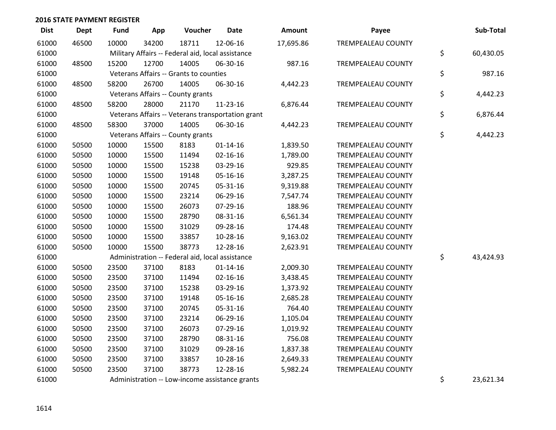| <b>Dist</b> | Dept  | <b>Fund</b> | App   | Voucher                                           | <b>Date</b>                                       | Amount    | Payee                     | Sub-Total       |
|-------------|-------|-------------|-------|---------------------------------------------------|---------------------------------------------------|-----------|---------------------------|-----------------|
| 61000       | 46500 | 10000       | 34200 | 18711                                             | 12-06-16                                          | 17,695.86 | <b>TREMPEALEAU COUNTY</b> |                 |
| 61000       |       |             |       | Military Affairs -- Federal aid, local assistance |                                                   |           |                           | \$<br>60,430.05 |
| 61000       | 48500 | 15200       | 12700 | 14005                                             | 06-30-16                                          | 987.16    | TREMPEALEAU COUNTY        |                 |
| 61000       |       |             |       | Veterans Affairs -- Grants to counties            |                                                   |           |                           | \$<br>987.16    |
| 61000       | 48500 | 58200       | 26700 | 14005                                             | 06-30-16                                          | 4,442.23  | <b>TREMPEALEAU COUNTY</b> |                 |
| 61000       |       |             |       | Veterans Affairs -- County grants                 |                                                   |           |                           | \$<br>4,442.23  |
| 61000       | 48500 | 58200       | 28000 | 21170                                             | 11-23-16                                          | 6,876.44  | TREMPEALEAU COUNTY        |                 |
| 61000       |       |             |       |                                                   | Veterans Affairs -- Veterans transportation grant |           |                           | \$<br>6,876.44  |
| 61000       | 48500 | 58300       | 37000 | 14005                                             | 06-30-16                                          | 4,442.23  | TREMPEALEAU COUNTY        |                 |
| 61000       |       |             |       | Veterans Affairs -- County grants                 |                                                   |           |                           | \$<br>4,442.23  |
| 61000       | 50500 | 10000       | 15500 | 8183                                              | $01 - 14 - 16$                                    | 1,839.50  | TREMPEALEAU COUNTY        |                 |
| 61000       | 50500 | 10000       | 15500 | 11494                                             | $02 - 16 - 16$                                    | 1,789.00  | TREMPEALEAU COUNTY        |                 |
| 61000       | 50500 | 10000       | 15500 | 15238                                             | 03-29-16                                          | 929.85    | TREMPEALEAU COUNTY        |                 |
| 61000       | 50500 | 10000       | 15500 | 19148                                             | 05-16-16                                          | 3,287.25  | TREMPEALEAU COUNTY        |                 |
| 61000       | 50500 | 10000       | 15500 | 20745                                             | 05-31-16                                          | 9,319.88  | TREMPEALEAU COUNTY        |                 |
| 61000       | 50500 | 10000       | 15500 | 23214                                             | 06-29-16                                          | 7,547.74  | TREMPEALEAU COUNTY        |                 |
| 61000       | 50500 | 10000       | 15500 | 26073                                             | 07-29-16                                          | 188.96    | TREMPEALEAU COUNTY        |                 |
| 61000       | 50500 | 10000       | 15500 | 28790                                             | 08-31-16                                          | 6,561.34  | TREMPEALEAU COUNTY        |                 |
| 61000       | 50500 | 10000       | 15500 | 31029                                             | 09-28-16                                          | 174.48    | TREMPEALEAU COUNTY        |                 |
| 61000       | 50500 | 10000       | 15500 | 33857                                             | 10-28-16                                          | 9,163.02  | <b>TREMPEALEAU COUNTY</b> |                 |
| 61000       | 50500 | 10000       | 15500 | 38773                                             | 12-28-16                                          | 2,623.91  | TREMPEALEAU COUNTY        |                 |
| 61000       |       |             |       |                                                   | Administration -- Federal aid, local assistance   |           |                           | \$<br>43,424.93 |
| 61000       | 50500 | 23500       | 37100 | 8183                                              | $01 - 14 - 16$                                    | 2,009.30  | TREMPEALEAU COUNTY        |                 |
| 61000       | 50500 | 23500       | 37100 | 11494                                             | $02 - 16 - 16$                                    | 3,438.45  | TREMPEALEAU COUNTY        |                 |
| 61000       | 50500 | 23500       | 37100 | 15238                                             | 03-29-16                                          | 1,373.92  | TREMPEALEAU COUNTY        |                 |
| 61000       | 50500 | 23500       | 37100 | 19148                                             | 05-16-16                                          | 2,685.28  | <b>TREMPEALEAU COUNTY</b> |                 |
| 61000       | 50500 | 23500       | 37100 | 20745                                             | 05-31-16                                          | 764.40    | TREMPEALEAU COUNTY        |                 |
| 61000       | 50500 | 23500       | 37100 | 23214                                             | 06-29-16                                          | 1,105.04  | TREMPEALEAU COUNTY        |                 |
| 61000       | 50500 | 23500       | 37100 | 26073                                             | 07-29-16                                          | 1,019.92  | TREMPEALEAU COUNTY        |                 |
| 61000       | 50500 | 23500       | 37100 | 28790                                             | 08-31-16                                          | 756.08    | TREMPEALEAU COUNTY        |                 |
| 61000       | 50500 | 23500       | 37100 | 31029                                             | 09-28-16                                          | 1,837.38  | TREMPEALEAU COUNTY        |                 |
| 61000       | 50500 | 23500       | 37100 | 33857                                             | 10-28-16                                          | 2,649.33  | TREMPEALEAU COUNTY        |                 |
| 61000       | 50500 | 23500       | 37100 | 38773                                             | 12-28-16                                          | 5,982.24  | TREMPEALEAU COUNTY        |                 |
| 61000       |       |             |       |                                                   | Administration -- Low-income assistance grants    |           |                           | \$<br>23,621.34 |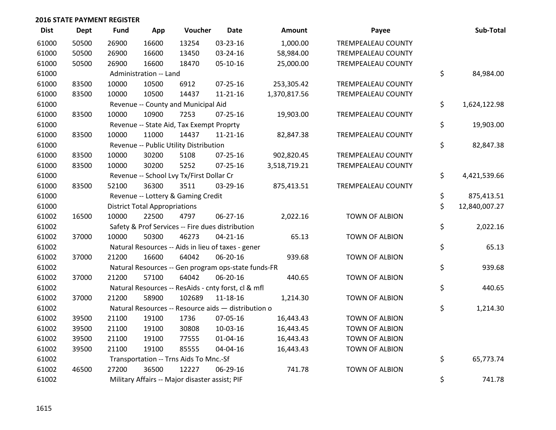| <b>Dist</b> | <b>Dept</b> | <b>Fund</b> | App                                  | Voucher                                             | <b>Date</b>    | Amount       | Payee                     | Sub-Total           |
|-------------|-------------|-------------|--------------------------------------|-----------------------------------------------------|----------------|--------------|---------------------------|---------------------|
| 61000       | 50500       | 26900       | 16600                                | 13254                                               | 03-23-16       | 1,000.00     | <b>TREMPEALEAU COUNTY</b> |                     |
| 61000       | 50500       | 26900       | 16600                                | 13450                                               | 03-24-16       | 58,984.00    | <b>TREMPEALEAU COUNTY</b> |                     |
| 61000       | 50500       | 26900       | 16600                                | 18470                                               | 05-10-16       | 25,000.00    | TREMPEALEAU COUNTY        |                     |
| 61000       |             |             | Administration -- Land               |                                                     |                |              |                           | \$<br>84,984.00     |
| 61000       | 83500       | 10000       | 10500                                | 6912                                                | $07 - 25 - 16$ | 253,305.42   | <b>TREMPEALEAU COUNTY</b> |                     |
| 61000       | 83500       | 10000       | 10500                                | 14437                                               | $11 - 21 - 16$ | 1,370,817.56 | TREMPEALEAU COUNTY        |                     |
| 61000       |             |             |                                      | Revenue -- County and Municipal Aid                 |                |              |                           | \$<br>1,624,122.98  |
| 61000       | 83500       | 10000       | 10900                                | 7253                                                | 07-25-16       | 19,903.00    | TREMPEALEAU COUNTY        |                     |
| 61000       |             |             |                                      | Revenue -- State Aid, Tax Exempt Proprty            |                |              |                           | \$<br>19,903.00     |
| 61000       | 83500       | 10000       | 11000                                | 14437                                               | $11 - 21 - 16$ | 82,847.38    | TREMPEALEAU COUNTY        |                     |
| 61000       |             |             |                                      | Revenue -- Public Utility Distribution              |                |              |                           | \$<br>82,847.38     |
| 61000       | 83500       | 10000       | 30200                                | 5108                                                | $07 - 25 - 16$ | 902,820.45   | TREMPEALEAU COUNTY        |                     |
| 61000       | 83500       | 10000       | 30200                                | 5252                                                | 07-25-16       | 3,518,719.21 | TREMPEALEAU COUNTY        |                     |
| 61000       |             |             |                                      | Revenue -- School Lvy Tx/First Dollar Cr            |                |              |                           | \$<br>4,421,539.66  |
| 61000       | 83500       | 52100       | 36300                                | 3511                                                | 03-29-16       | 875,413.51   | <b>TREMPEALEAU COUNTY</b> |                     |
| 61000       |             |             |                                      | Revenue -- Lottery & Gaming Credit                  |                |              |                           | \$<br>875,413.51    |
| 61000       |             |             | <b>District Total Appropriations</b> |                                                     |                |              |                           | \$<br>12,840,007.27 |
| 61002       | 16500       | 10000       | 22500                                | 4797                                                | 06-27-16       | 2,022.16     | <b>TOWN OF ALBION</b>     |                     |
| 61002       |             |             |                                      | Safety & Prof Services -- Fire dues distribution    |                |              |                           | \$<br>2,022.16      |
| 61002       | 37000       | 10000       | 50300                                | 46273                                               | $04 - 21 - 16$ | 65.13        | <b>TOWN OF ALBION</b>     |                     |
| 61002       |             |             |                                      | Natural Resources -- Aids in lieu of taxes - gener  |                |              |                           | \$<br>65.13         |
| 61002       | 37000       | 21200       | 16600                                | 64042                                               | 06-20-16       | 939.68       | TOWN OF ALBION            |                     |
| 61002       |             |             |                                      | Natural Resources -- Gen program ops-state funds-FR |                |              |                           | \$<br>939.68        |
| 61002       | 37000       | 21200       | 57100                                | 64042                                               | 06-20-16       | 440.65       | TOWN OF ALBION            |                     |
| 61002       |             |             |                                      | Natural Resources -- ResAids - cnty forst, cl & mfl |                |              |                           | \$<br>440.65        |
| 61002       | 37000       | 21200       | 58900                                | 102689                                              | 11-18-16       | 1,214.30     | <b>TOWN OF ALBION</b>     |                     |
| 61002       |             |             |                                      | Natural Resources -- Resource aids - distribution o |                |              |                           | \$<br>1,214.30      |
| 61002       | 39500       | 21100       | 19100                                | 1736                                                | 07-05-16       | 16,443.43    | <b>TOWN OF ALBION</b>     |                     |
| 61002       | 39500       | 21100       | 19100                                | 30808                                               | 10-03-16       | 16,443.45    | TOWN OF ALBION            |                     |
| 61002       | 39500       | 21100       | 19100                                | 77555                                               | $01 - 04 - 16$ | 16,443.43    | TOWN OF ALBION            |                     |
| 61002       | 39500       | 21100       | 19100                                | 85555                                               | 04-04-16       | 16,443.43    | <b>TOWN OF ALBION</b>     |                     |
| 61002       |             |             |                                      | Transportation -- Trns Aids To Mnc.-Sf              |                |              |                           | \$<br>65,773.74     |
| 61002       | 46500       | 27200       | 36500                                | 12227                                               | 06-29-16       | 741.78       | <b>TOWN OF ALBION</b>     |                     |
| 61002       |             |             |                                      | Military Affairs -- Major disaster assist; PIF      |                |              |                           | \$<br>741.78        |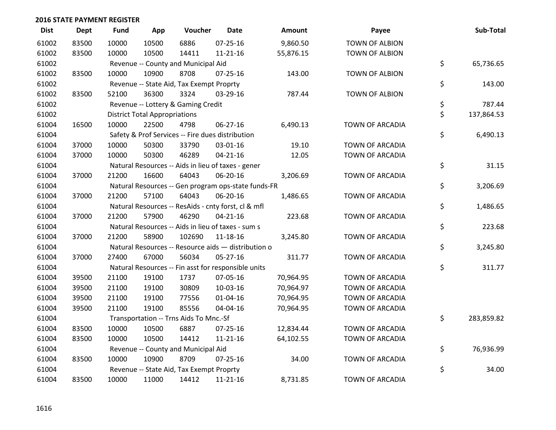| <b>Dist</b> | <b>Dept</b> | <b>Fund</b> | App                                  | Voucher                                  | Date                                                | Amount    | Payee                  | Sub-Total        |
|-------------|-------------|-------------|--------------------------------------|------------------------------------------|-----------------------------------------------------|-----------|------------------------|------------------|
| 61002       | 83500       | 10000       | 10500                                | 6886                                     | $07 - 25 - 16$                                      | 9,860.50  | <b>TOWN OF ALBION</b>  |                  |
| 61002       | 83500       | 10000       | 10500                                | 14411                                    | $11 - 21 - 16$                                      | 55,876.15 | TOWN OF ALBION         |                  |
| 61002       |             |             |                                      | Revenue -- County and Municipal Aid      |                                                     |           |                        | \$<br>65,736.65  |
| 61002       | 83500       | 10000       | 10900                                | 8708                                     | $07 - 25 - 16$                                      | 143.00    | TOWN OF ALBION         |                  |
| 61002       |             |             |                                      | Revenue -- State Aid, Tax Exempt Proprty |                                                     |           |                        | \$<br>143.00     |
| 61002       | 83500       | 52100       | 36300                                | 3324                                     | 03-29-16                                            | 787.44    | <b>TOWN OF ALBION</b>  |                  |
| 61002       |             |             |                                      | Revenue -- Lottery & Gaming Credit       |                                                     |           |                        | \$<br>787.44     |
| 61002       |             |             | <b>District Total Appropriations</b> |                                          |                                                     |           |                        | \$<br>137,864.53 |
| 61004       | 16500       | 10000       | 22500                                | 4798                                     | 06-27-16                                            | 6,490.13  | TOWN OF ARCADIA        |                  |
| 61004       |             |             |                                      |                                          | Safety & Prof Services -- Fire dues distribution    |           |                        | \$<br>6,490.13   |
| 61004       | 37000       | 10000       | 50300                                | 33790                                    | 03-01-16                                            | 19.10     | TOWN OF ARCADIA        |                  |
| 61004       | 37000       | 10000       | 50300                                | 46289                                    | $04 - 21 - 16$                                      | 12.05     | <b>TOWN OF ARCADIA</b> |                  |
| 61004       |             |             |                                      |                                          | Natural Resources -- Aids in lieu of taxes - gener  |           |                        | \$<br>31.15      |
| 61004       | 37000       | 21200       | 16600                                | 64043                                    | 06-20-16                                            | 3,206.69  | TOWN OF ARCADIA        |                  |
| 61004       |             |             |                                      |                                          | Natural Resources -- Gen program ops-state funds-FR |           |                        | \$<br>3,206.69   |
| 61004       | 37000       | 21200       | 57100                                | 64043                                    | 06-20-16                                            | 1,486.65  | TOWN OF ARCADIA        |                  |
| 61004       |             |             |                                      |                                          | Natural Resources -- ResAids - cnty forst, cl & mfl |           |                        | \$<br>1,486.65   |
| 61004       | 37000       | 21200       | 57900                                | 46290                                    | $04 - 21 - 16$                                      | 223.68    | <b>TOWN OF ARCADIA</b> |                  |
| 61004       |             |             |                                      |                                          | Natural Resources -- Aids in lieu of taxes - sum s  |           |                        | \$<br>223.68     |
| 61004       | 37000       | 21200       | 58900                                | 102690                                   | $11 - 18 - 16$                                      | 3,245.80  | TOWN OF ARCADIA        |                  |
| 61004       |             |             |                                      |                                          | Natural Resources -- Resource aids - distribution o |           |                        | \$<br>3,245.80   |
| 61004       | 37000       | 27400       | 67000                                | 56034                                    | 05-27-16                                            | 311.77    | TOWN OF ARCADIA        |                  |
| 61004       |             |             |                                      |                                          | Natural Resources -- Fin asst for responsible units |           |                        | \$<br>311.77     |
| 61004       | 39500       | 21100       | 19100                                | 1737                                     | 07-05-16                                            | 70,964.95 | <b>TOWN OF ARCADIA</b> |                  |
| 61004       | 39500       | 21100       | 19100                                | 30809                                    | 10-03-16                                            | 70,964.97 | <b>TOWN OF ARCADIA</b> |                  |
| 61004       | 39500       | 21100       | 19100                                | 77556                                    | $01 - 04 - 16$                                      | 70,964.95 | <b>TOWN OF ARCADIA</b> |                  |
| 61004       | 39500       | 21100       | 19100                                | 85556                                    | 04-04-16                                            | 70,964.95 | TOWN OF ARCADIA        |                  |
| 61004       |             |             |                                      | Transportation -- Trns Aids To Mnc.-Sf   |                                                     |           |                        | \$<br>283,859.82 |
| 61004       | 83500       | 10000       | 10500                                | 6887                                     | 07-25-16                                            | 12,834.44 | TOWN OF ARCADIA        |                  |
| 61004       | 83500       | 10000       | 10500                                | 14412                                    | $11 - 21 - 16$                                      | 64,102.55 | TOWN OF ARCADIA        |                  |
| 61004       |             |             |                                      | Revenue -- County and Municipal Aid      |                                                     |           |                        | \$<br>76,936.99  |
| 61004       | 83500       | 10000       | 10900                                | 8709                                     | $07 - 25 - 16$                                      | 34.00     | TOWN OF ARCADIA        |                  |
| 61004       |             |             |                                      | Revenue -- State Aid, Tax Exempt Proprty |                                                     |           |                        | \$<br>34.00      |
| 61004       | 83500       | 10000       | 11000                                | 14412                                    | $11 - 21 - 16$                                      | 8,731.85  | TOWN OF ARCADIA        |                  |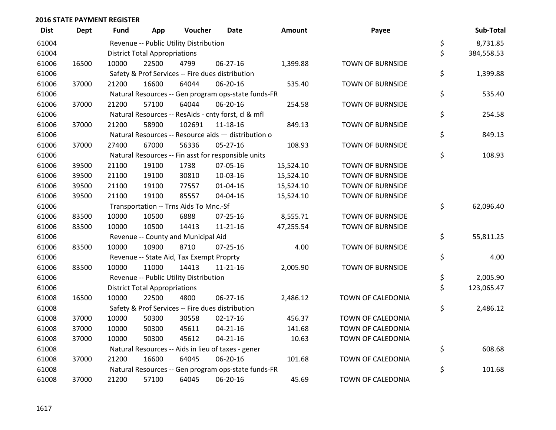| <b>Dist</b> | <b>Dept</b> | Fund  | App                                  | Voucher                                             | Date           | Amount    | Payee                   | Sub-Total        |
|-------------|-------------|-------|--------------------------------------|-----------------------------------------------------|----------------|-----------|-------------------------|------------------|
| 61004       |             |       |                                      | Revenue -- Public Utility Distribution              |                |           |                         | \$<br>8,731.85   |
| 61004       |             |       | <b>District Total Appropriations</b> |                                                     |                |           |                         | \$<br>384,558.53 |
| 61006       | 16500       | 10000 | 22500                                | 4799                                                | 06-27-16       | 1,399.88  | <b>TOWN OF BURNSIDE</b> |                  |
| 61006       |             |       |                                      | Safety & Prof Services -- Fire dues distribution    |                |           |                         | \$<br>1,399.88   |
| 61006       | 37000       | 21200 | 16600                                | 64044                                               | 06-20-16       | 535.40    | <b>TOWN OF BURNSIDE</b> |                  |
| 61006       |             |       |                                      | Natural Resources -- Gen program ops-state funds-FR |                |           |                         | \$<br>535.40     |
| 61006       | 37000       | 21200 | 57100                                | 64044                                               | 06-20-16       | 254.58    | <b>TOWN OF BURNSIDE</b> |                  |
| 61006       |             |       |                                      | Natural Resources -- ResAids - cnty forst, cl & mfl |                |           |                         | \$<br>254.58     |
| 61006       | 37000       | 21200 | 58900                                | 102691                                              | 11-18-16       | 849.13    | <b>TOWN OF BURNSIDE</b> |                  |
| 61006       |             |       |                                      | Natural Resources -- Resource aids - distribution o |                |           |                         | \$<br>849.13     |
| 61006       | 37000       | 27400 | 67000                                | 56336                                               | 05-27-16       | 108.93    | <b>TOWN OF BURNSIDE</b> |                  |
| 61006       |             |       |                                      | Natural Resources -- Fin asst for responsible units |                |           |                         | \$<br>108.93     |
| 61006       | 39500       | 21100 | 19100                                | 1738                                                | 07-05-16       | 15,524.10 | TOWN OF BURNSIDE        |                  |
| 61006       | 39500       | 21100 | 19100                                | 30810                                               | 10-03-16       | 15,524.10 | <b>TOWN OF BURNSIDE</b> |                  |
| 61006       | 39500       | 21100 | 19100                                | 77557                                               | $01 - 04 - 16$ | 15,524.10 | <b>TOWN OF BURNSIDE</b> |                  |
| 61006       | 39500       | 21100 | 19100                                | 85557                                               | 04-04-16       | 15,524.10 | <b>TOWN OF BURNSIDE</b> |                  |
| 61006       |             |       |                                      | Transportation -- Trns Aids To Mnc.-Sf              |                |           |                         | \$<br>62,096.40  |
| 61006       | 83500       | 10000 | 10500                                | 6888                                                | 07-25-16       | 8,555.71  | <b>TOWN OF BURNSIDE</b> |                  |
| 61006       | 83500       | 10000 | 10500                                | 14413                                               | $11 - 21 - 16$ | 47,255.54 | <b>TOWN OF BURNSIDE</b> |                  |
| 61006       |             |       |                                      | Revenue -- County and Municipal Aid                 |                |           |                         | \$<br>55,811.25  |
| 61006       | 83500       | 10000 | 10900                                | 8710                                                | $07 - 25 - 16$ | 4.00      | <b>TOWN OF BURNSIDE</b> |                  |
| 61006       |             |       |                                      | Revenue -- State Aid, Tax Exempt Proprty            |                |           |                         | \$<br>4.00       |
| 61006       | 83500       | 10000 | 11000                                | 14413                                               | $11 - 21 - 16$ | 2,005.90  | TOWN OF BURNSIDE        |                  |
| 61006       |             |       |                                      | Revenue -- Public Utility Distribution              |                |           |                         | \$<br>2,005.90   |
| 61006       |             |       | <b>District Total Appropriations</b> |                                                     |                |           |                         | \$<br>123,065.47 |
| 61008       | 16500       | 10000 | 22500                                | 4800                                                | 06-27-16       | 2,486.12  | TOWN OF CALEDONIA       |                  |
| 61008       |             |       |                                      | Safety & Prof Services -- Fire dues distribution    |                |           |                         | \$<br>2,486.12   |
| 61008       | 37000       | 10000 | 50300                                | 30558                                               | $02 - 17 - 16$ | 456.37    | TOWN OF CALEDONIA       |                  |
| 61008       | 37000       | 10000 | 50300                                | 45611                                               | $04 - 21 - 16$ | 141.68    | TOWN OF CALEDONIA       |                  |
| 61008       | 37000       | 10000 | 50300                                | 45612                                               | $04 - 21 - 16$ | 10.63     | TOWN OF CALEDONIA       |                  |
| 61008       |             |       |                                      | Natural Resources -- Aids in lieu of taxes - gener  |                |           |                         | \$<br>608.68     |
| 61008       | 37000       | 21200 | 16600                                | 64045                                               | 06-20-16       | 101.68    | TOWN OF CALEDONIA       |                  |
| 61008       |             |       |                                      | Natural Resources -- Gen program ops-state funds-FR |                |           |                         | \$<br>101.68     |
| 61008       | 37000       | 21200 | 57100                                | 64045                                               | 06-20-16       | 45.69     | TOWN OF CALEDONIA       |                  |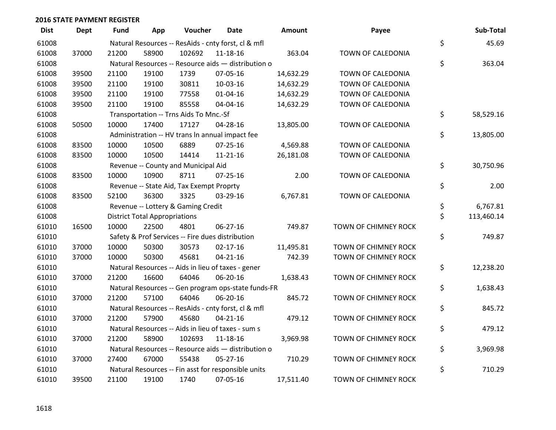| <b>Dist</b> | Dept  | Fund  | App                                  | Voucher                                             | Date           | <b>Amount</b> | Payee                | Sub-Total        |
|-------------|-------|-------|--------------------------------------|-----------------------------------------------------|----------------|---------------|----------------------|------------------|
| 61008       |       |       |                                      | Natural Resources -- ResAids - cnty forst, cl & mfl |                |               |                      | \$<br>45.69      |
| 61008       | 37000 | 21200 | 58900                                | 102692                                              | 11-18-16       | 363.04        | TOWN OF CALEDONIA    |                  |
| 61008       |       |       |                                      | Natural Resources -- Resource aids - distribution o |                |               |                      | \$<br>363.04     |
| 61008       | 39500 | 21100 | 19100                                | 1739                                                | 07-05-16       | 14,632.29     | TOWN OF CALEDONIA    |                  |
| 61008       | 39500 | 21100 | 19100                                | 30811                                               | 10-03-16       | 14,632.29     | TOWN OF CALEDONIA    |                  |
| 61008       | 39500 | 21100 | 19100                                | 77558                                               | $01 - 04 - 16$ | 14,632.29     | TOWN OF CALEDONIA    |                  |
| 61008       | 39500 | 21100 | 19100                                | 85558                                               | 04-04-16       | 14,632.29     | TOWN OF CALEDONIA    |                  |
| 61008       |       |       |                                      | Transportation -- Trns Aids To Mnc.-Sf              |                |               |                      | \$<br>58,529.16  |
| 61008       | 50500 | 10000 | 17400                                | 17127                                               | 04-28-16       | 13,805.00     | TOWN OF CALEDONIA    |                  |
| 61008       |       |       |                                      | Administration -- HV trans In annual impact fee     |                |               |                      | \$<br>13,805.00  |
| 61008       | 83500 | 10000 | 10500                                | 6889                                                | $07 - 25 - 16$ | 4,569.88      | TOWN OF CALEDONIA    |                  |
| 61008       | 83500 | 10000 | 10500                                | 14414                                               | $11 - 21 - 16$ | 26,181.08     | TOWN OF CALEDONIA    |                  |
| 61008       |       |       |                                      | Revenue -- County and Municipal Aid                 |                |               |                      | \$<br>30,750.96  |
| 61008       | 83500 | 10000 | 10900                                | 8711                                                | $07 - 25 - 16$ | 2.00          | TOWN OF CALEDONIA    |                  |
| 61008       |       |       |                                      | Revenue -- State Aid, Tax Exempt Proprty            |                |               |                      | \$<br>2.00       |
| 61008       | 83500 | 52100 | 36300                                | 3325                                                | 03-29-16       | 6,767.81      | TOWN OF CALEDONIA    |                  |
| 61008       |       |       |                                      | Revenue -- Lottery & Gaming Credit                  |                |               |                      | \$<br>6,767.81   |
| 61008       |       |       | <b>District Total Appropriations</b> |                                                     |                |               |                      | \$<br>113,460.14 |
| 61010       | 16500 | 10000 | 22500                                | 4801                                                | 06-27-16       | 749.87        | TOWN OF CHIMNEY ROCK |                  |
| 61010       |       |       |                                      | Safety & Prof Services -- Fire dues distribution    |                |               |                      | \$<br>749.87     |
| 61010       | 37000 | 10000 | 50300                                | 30573                                               | $02 - 17 - 16$ | 11,495.81     | TOWN OF CHIMNEY ROCK |                  |
| 61010       | 37000 | 10000 | 50300                                | 45681                                               | $04 - 21 - 16$ | 742.39        | TOWN OF CHIMNEY ROCK |                  |
| 61010       |       |       |                                      | Natural Resources -- Aids in lieu of taxes - gener  |                |               |                      | \$<br>12,238.20  |
| 61010       | 37000 | 21200 | 16600                                | 64046                                               | 06-20-16       | 1,638.43      | TOWN OF CHIMNEY ROCK |                  |
| 61010       |       |       |                                      | Natural Resources -- Gen program ops-state funds-FR |                |               |                      | \$<br>1,638.43   |
| 61010       | 37000 | 21200 | 57100                                | 64046                                               | 06-20-16       | 845.72        | TOWN OF CHIMNEY ROCK |                  |
| 61010       |       |       |                                      | Natural Resources -- ResAids - cnty forst, cl & mfl |                |               |                      | \$<br>845.72     |
| 61010       | 37000 | 21200 | 57900                                | 45680                                               | $04 - 21 - 16$ | 479.12        | TOWN OF CHIMNEY ROCK |                  |
| 61010       |       |       |                                      | Natural Resources -- Aids in lieu of taxes - sum s  |                |               |                      | \$<br>479.12     |
| 61010       | 37000 | 21200 | 58900                                | 102693                                              | 11-18-16       | 3,969.98      | TOWN OF CHIMNEY ROCK |                  |
| 61010       |       |       |                                      | Natural Resources -- Resource aids - distribution o |                |               |                      | \$<br>3,969.98   |
| 61010       | 37000 | 27400 | 67000                                | 55438                                               | 05-27-16       | 710.29        | TOWN OF CHIMNEY ROCK |                  |
| 61010       |       |       |                                      | Natural Resources -- Fin asst for responsible units |                |               |                      | \$<br>710.29     |
| 61010       | 39500 | 21100 | 19100                                | 1740                                                | 07-05-16       | 17,511.40     | TOWN OF CHIMNEY ROCK |                  |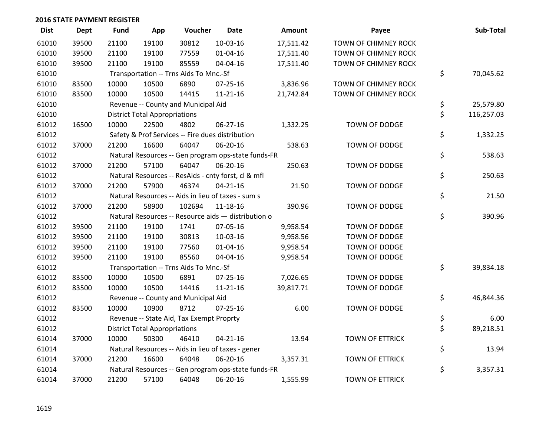| <b>Dist</b> | <b>Dept</b> | Fund  | App                                  | Voucher                                  | Date                                                | <b>Amount</b> | Payee                  | Sub-Total        |
|-------------|-------------|-------|--------------------------------------|------------------------------------------|-----------------------------------------------------|---------------|------------------------|------------------|
| 61010       | 39500       | 21100 | 19100                                | 30812                                    | 10-03-16                                            | 17,511.42     | TOWN OF CHIMNEY ROCK   |                  |
| 61010       | 39500       | 21100 | 19100                                | 77559                                    | 01-04-16                                            | 17,511.40     | TOWN OF CHIMNEY ROCK   |                  |
| 61010       | 39500       | 21100 | 19100                                | 85559                                    | 04-04-16                                            | 17,511.40     | TOWN OF CHIMNEY ROCK   |                  |
| 61010       |             |       |                                      | Transportation -- Trns Aids To Mnc.-Sf   |                                                     |               |                        | \$<br>70,045.62  |
| 61010       | 83500       | 10000 | 10500                                | 6890                                     | 07-25-16                                            | 3,836.96      | TOWN OF CHIMNEY ROCK   |                  |
| 61010       | 83500       | 10000 | 10500                                | 14415                                    | $11 - 21 - 16$                                      | 21,742.84     | TOWN OF CHIMNEY ROCK   |                  |
| 61010       |             |       |                                      | Revenue -- County and Municipal Aid      |                                                     |               |                        | \$<br>25,579.80  |
| 61010       |             |       | <b>District Total Appropriations</b> |                                          |                                                     |               |                        | \$<br>116,257.03 |
| 61012       | 16500       | 10000 | 22500                                | 4802                                     | 06-27-16                                            | 1,332.25      | TOWN OF DODGE          |                  |
| 61012       |             |       |                                      |                                          | Safety & Prof Services -- Fire dues distribution    |               |                        | \$<br>1,332.25   |
| 61012       | 37000       | 21200 | 16600                                | 64047                                    | 06-20-16                                            | 538.63        | TOWN OF DODGE          |                  |
| 61012       |             |       |                                      |                                          | Natural Resources -- Gen program ops-state funds-FR |               |                        | \$<br>538.63     |
| 61012       | 37000       | 21200 | 57100                                | 64047                                    | 06-20-16                                            | 250.63        | TOWN OF DODGE          |                  |
| 61012       |             |       |                                      |                                          | Natural Resources -- ResAids - cnty forst, cl & mfl |               |                        | \$<br>250.63     |
| 61012       | 37000       | 21200 | 57900                                | 46374                                    | $04 - 21 - 16$                                      | 21.50         | TOWN OF DODGE          |                  |
| 61012       |             |       |                                      |                                          | Natural Resources -- Aids in lieu of taxes - sum s  |               |                        | \$<br>21.50      |
| 61012       | 37000       | 21200 | 58900                                | 102694                                   | 11-18-16                                            | 390.96        | TOWN OF DODGE          |                  |
| 61012       |             |       |                                      |                                          | Natural Resources -- Resource aids - distribution o |               |                        | \$<br>390.96     |
| 61012       | 39500       | 21100 | 19100                                | 1741                                     | 07-05-16                                            | 9,958.54      | <b>TOWN OF DODGE</b>   |                  |
| 61012       | 39500       | 21100 | 19100                                | 30813                                    | 10-03-16                                            | 9,958.56      | TOWN OF DODGE          |                  |
| 61012       | 39500       | 21100 | 19100                                | 77560                                    | $01 - 04 - 16$                                      | 9,958.54      | TOWN OF DODGE          |                  |
| 61012       | 39500       | 21100 | 19100                                | 85560                                    | 04-04-16                                            | 9,958.54      | TOWN OF DODGE          |                  |
| 61012       |             |       |                                      | Transportation -- Trns Aids To Mnc.-Sf   |                                                     |               |                        | \$<br>39,834.18  |
| 61012       | 83500       | 10000 | 10500                                | 6891                                     | $07 - 25 - 16$                                      | 7,026.65      | TOWN OF DODGE          |                  |
| 61012       | 83500       | 10000 | 10500                                | 14416                                    | $11 - 21 - 16$                                      | 39,817.71     | TOWN OF DODGE          |                  |
| 61012       |             |       |                                      | Revenue -- County and Municipal Aid      |                                                     |               |                        | \$<br>46,844.36  |
| 61012       | 83500       | 10000 | 10900                                | 8712                                     | $07 - 25 - 16$                                      | 6.00          | TOWN OF DODGE          |                  |
| 61012       |             |       |                                      | Revenue -- State Aid, Tax Exempt Proprty |                                                     |               |                        | \$<br>6.00       |
| 61012       |             |       | <b>District Total Appropriations</b> |                                          |                                                     |               |                        | \$<br>89,218.51  |
| 61014       | 37000       | 10000 | 50300                                | 46410                                    | $04 - 21 - 16$                                      | 13.94         | <b>TOWN OF ETTRICK</b> |                  |
| 61014       |             |       |                                      |                                          | Natural Resources -- Aids in lieu of taxes - gener  |               |                        | \$<br>13.94      |
| 61014       | 37000       | 21200 | 16600                                | 64048                                    | 06-20-16                                            | 3,357.31      | <b>TOWN OF ETTRICK</b> |                  |
| 61014       |             |       |                                      |                                          | Natural Resources -- Gen program ops-state funds-FR |               |                        | \$<br>3,357.31   |
| 61014       | 37000       | 21200 | 57100                                | 64048                                    | 06-20-16                                            | 1,555.99      | <b>TOWN OF ETTRICK</b> |                  |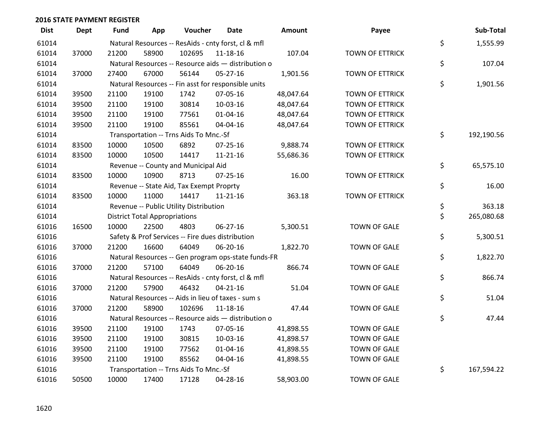| <b>Dist</b> | <b>Dept</b> | <b>Fund</b> | App                                  | Voucher                                             | Date           | Amount    | Payee                  | Sub-Total        |
|-------------|-------------|-------------|--------------------------------------|-----------------------------------------------------|----------------|-----------|------------------------|------------------|
| 61014       |             |             |                                      | Natural Resources -- ResAids - cnty forst, cl & mfl |                |           |                        | \$<br>1,555.99   |
| 61014       | 37000       | 21200       | 58900                                | 102695                                              | 11-18-16       | 107.04    | TOWN OF ETTRICK        |                  |
| 61014       |             |             |                                      | Natural Resources -- Resource aids - distribution o |                |           |                        | \$<br>107.04     |
| 61014       | 37000       | 27400       | 67000                                | 56144                                               | 05-27-16       | 1,901.56  | TOWN OF ETTRICK        |                  |
| 61014       |             |             |                                      | Natural Resources -- Fin asst for responsible units |                |           |                        | \$<br>1,901.56   |
| 61014       | 39500       | 21100       | 19100                                | 1742                                                | 07-05-16       | 48,047.64 | <b>TOWN OF ETTRICK</b> |                  |
| 61014       | 39500       | 21100       | 19100                                | 30814                                               | 10-03-16       | 48,047.64 | <b>TOWN OF ETTRICK</b> |                  |
| 61014       | 39500       | 21100       | 19100                                | 77561                                               | $01 - 04 - 16$ | 48,047.64 | TOWN OF ETTRICK        |                  |
| 61014       | 39500       | 21100       | 19100                                | 85561                                               | 04-04-16       | 48,047.64 | TOWN OF ETTRICK        |                  |
| 61014       |             |             |                                      | Transportation -- Trns Aids To Mnc.-Sf              |                |           |                        | \$<br>192,190.56 |
| 61014       | 83500       | 10000       | 10500                                | 6892                                                | 07-25-16       | 9,888.74  | <b>TOWN OF ETTRICK</b> |                  |
| 61014       | 83500       | 10000       | 10500                                | 14417                                               | $11 - 21 - 16$ | 55,686.36 | TOWN OF ETTRICK        |                  |
| 61014       |             |             |                                      | Revenue -- County and Municipal Aid                 |                |           |                        | \$<br>65,575.10  |
| 61014       | 83500       | 10000       | 10900                                | 8713                                                | $07 - 25 - 16$ | 16.00     | <b>TOWN OF ETTRICK</b> |                  |
| 61014       |             |             |                                      | Revenue -- State Aid, Tax Exempt Proprty            |                |           |                        | \$<br>16.00      |
| 61014       | 83500       | 10000       | 11000                                | 14417                                               | $11 - 21 - 16$ | 363.18    | TOWN OF ETTRICK        |                  |
| 61014       |             |             |                                      | Revenue -- Public Utility Distribution              |                |           |                        | \$<br>363.18     |
| 61014       |             |             | <b>District Total Appropriations</b> |                                                     |                |           |                        | \$<br>265,080.68 |
| 61016       | 16500       | 10000       | 22500                                | 4803                                                | 06-27-16       | 5,300.51  | <b>TOWN OF GALE</b>    |                  |
| 61016       |             |             |                                      | Safety & Prof Services -- Fire dues distribution    |                |           |                        | \$<br>5,300.51   |
| 61016       | 37000       | 21200       | 16600                                | 64049                                               | 06-20-16       | 1,822.70  | <b>TOWN OF GALE</b>    |                  |
| 61016       |             |             |                                      | Natural Resources -- Gen program ops-state funds-FR |                |           |                        | \$<br>1,822.70   |
| 61016       | 37000       | 21200       | 57100                                | 64049                                               | 06-20-16       | 866.74    | <b>TOWN OF GALE</b>    |                  |
| 61016       |             |             |                                      | Natural Resources -- ResAids - cnty forst, cl & mfl |                |           |                        | \$<br>866.74     |
| 61016       | 37000       | 21200       | 57900                                | 46432                                               | $04 - 21 - 16$ | 51.04     | <b>TOWN OF GALE</b>    |                  |
| 61016       |             |             |                                      | Natural Resources -- Aids in lieu of taxes - sum s  |                |           |                        | \$<br>51.04      |
| 61016       | 37000       | 21200       | 58900                                | 102696                                              | $11 - 18 - 16$ | 47.44     | <b>TOWN OF GALE</b>    |                  |
| 61016       |             |             |                                      | Natural Resources -- Resource aids - distribution o |                |           |                        | \$<br>47.44      |
| 61016       | 39500       | 21100       | 19100                                | 1743                                                | 07-05-16       | 41,898.55 | <b>TOWN OF GALE</b>    |                  |
| 61016       | 39500       | 21100       | 19100                                | 30815                                               | 10-03-16       | 41,898.57 | <b>TOWN OF GALE</b>    |                  |
| 61016       | 39500       | 21100       | 19100                                | 77562                                               | $01 - 04 - 16$ | 41,898.55 | <b>TOWN OF GALE</b>    |                  |
| 61016       | 39500       | 21100       | 19100                                | 85562                                               | 04-04-16       | 41,898.55 | <b>TOWN OF GALE</b>    |                  |
| 61016       |             |             |                                      | Transportation -- Trns Aids To Mnc.-Sf              |                |           |                        | \$<br>167,594.22 |
| 61016       | 50500       | 10000       | 17400                                | 17128                                               | 04-28-16       | 58,903.00 | <b>TOWN OF GALE</b>    |                  |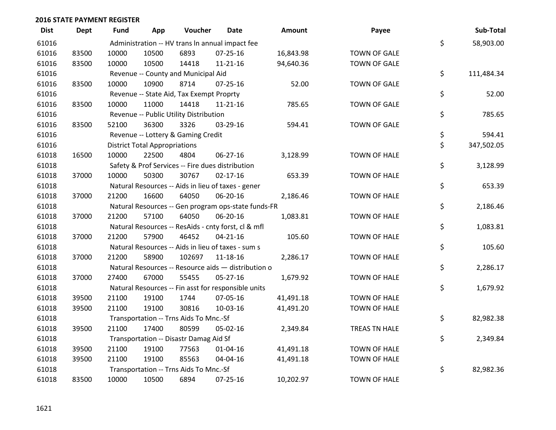| <b>Dist</b> | Dept  | <b>Fund</b> | App                                  | Voucher                                  | Date                                                | <b>Amount</b> | Payee               | Sub-Total        |
|-------------|-------|-------------|--------------------------------------|------------------------------------------|-----------------------------------------------------|---------------|---------------------|------------------|
| 61016       |       |             |                                      |                                          | Administration -- HV trans In annual impact fee     |               |                     | \$<br>58,903.00  |
| 61016       | 83500 | 10000       | 10500                                | 6893                                     | $07 - 25 - 16$                                      | 16,843.98     | <b>TOWN OF GALE</b> |                  |
| 61016       | 83500 | 10000       | 10500                                | 14418                                    | $11 - 21 - 16$                                      | 94,640.36     | <b>TOWN OF GALE</b> |                  |
| 61016       |       |             |                                      | Revenue -- County and Municipal Aid      |                                                     |               |                     | \$<br>111,484.34 |
| 61016       | 83500 | 10000       | 10900                                | 8714                                     | $07 - 25 - 16$                                      | 52.00         | <b>TOWN OF GALE</b> |                  |
| 61016       |       |             |                                      | Revenue -- State Aid, Tax Exempt Proprty |                                                     |               |                     | \$<br>52.00      |
| 61016       | 83500 | 10000       | 11000                                | 14418                                    | $11 - 21 - 16$                                      | 785.65        | <b>TOWN OF GALE</b> |                  |
| 61016       |       |             |                                      | Revenue -- Public Utility Distribution   |                                                     |               |                     | \$<br>785.65     |
| 61016       | 83500 | 52100       | 36300                                | 3326                                     | 03-29-16                                            | 594.41        | <b>TOWN OF GALE</b> |                  |
| 61016       |       |             |                                      | Revenue -- Lottery & Gaming Credit       |                                                     |               |                     | \$<br>594.41     |
| 61016       |       |             | <b>District Total Appropriations</b> |                                          |                                                     |               |                     | \$<br>347,502.05 |
| 61018       | 16500 | 10000       | 22500                                | 4804                                     | 06-27-16                                            | 3,128.99      | <b>TOWN OF HALE</b> |                  |
| 61018       |       |             |                                      |                                          | Safety & Prof Services -- Fire dues distribution    |               |                     | \$<br>3,128.99   |
| 61018       | 37000 | 10000       | 50300                                | 30767                                    | $02 - 17 - 16$                                      | 653.39        | <b>TOWN OF HALE</b> |                  |
| 61018       |       |             |                                      |                                          | Natural Resources -- Aids in lieu of taxes - gener  |               |                     | \$<br>653.39     |
| 61018       | 37000 | 21200       | 16600                                | 64050                                    | 06-20-16                                            | 2,186.46      | <b>TOWN OF HALE</b> |                  |
| 61018       |       |             |                                      |                                          | Natural Resources -- Gen program ops-state funds-FR |               |                     | \$<br>2,186.46   |
| 61018       | 37000 | 21200       | 57100                                | 64050                                    | 06-20-16                                            | 1,083.81      | <b>TOWN OF HALE</b> |                  |
| 61018       |       |             |                                      |                                          | Natural Resources -- ResAids - cnty forst, cl & mfl |               |                     | \$<br>1,083.81   |
| 61018       | 37000 | 21200       | 57900                                | 46452                                    | $04 - 21 - 16$                                      | 105.60        | <b>TOWN OF HALE</b> |                  |
| 61018       |       |             |                                      |                                          | Natural Resources -- Aids in lieu of taxes - sum s  |               |                     | \$<br>105.60     |
| 61018       | 37000 | 21200       | 58900                                | 102697                                   | $11 - 18 - 16$                                      | 2,286.17      | <b>TOWN OF HALE</b> |                  |
| 61018       |       |             |                                      |                                          | Natural Resources -- Resource aids - distribution o |               |                     | \$<br>2,286.17   |
| 61018       | 37000 | 27400       | 67000                                | 55455                                    | $05 - 27 - 16$                                      | 1,679.92      | <b>TOWN OF HALE</b> |                  |
| 61018       |       |             |                                      |                                          | Natural Resources -- Fin asst for responsible units |               |                     | \$<br>1,679.92   |
| 61018       | 39500 | 21100       | 19100                                | 1744                                     | 07-05-16                                            | 41,491.18     | <b>TOWN OF HALE</b> |                  |
| 61018       | 39500 | 21100       | 19100                                | 30816                                    | 10-03-16                                            | 41,491.20     | TOWN OF HALE        |                  |
| 61018       |       |             |                                      | Transportation -- Trns Aids To Mnc.-Sf   |                                                     |               |                     | \$<br>82,982.38  |
| 61018       | 39500 | 21100       | 17400                                | 80599                                    | 05-02-16                                            | 2,349.84      | TREAS TN HALE       |                  |
| 61018       |       |             |                                      | Transportation -- Disastr Damag Aid Sf   |                                                     |               |                     | \$<br>2,349.84   |
| 61018       | 39500 | 21100       | 19100                                | 77563                                    | 01-04-16                                            | 41,491.18     | <b>TOWN OF HALE</b> |                  |
| 61018       | 39500 | 21100       | 19100                                | 85563                                    | 04-04-16                                            | 41,491.18     | <b>TOWN OF HALE</b> |                  |
| 61018       |       |             |                                      | Transportation -- Trns Aids To Mnc.-Sf   |                                                     |               |                     | \$<br>82,982.36  |
| 61018       | 83500 | 10000       | 10500                                | 6894                                     | 07-25-16                                            | 10,202.97     | <b>TOWN OF HALE</b> |                  |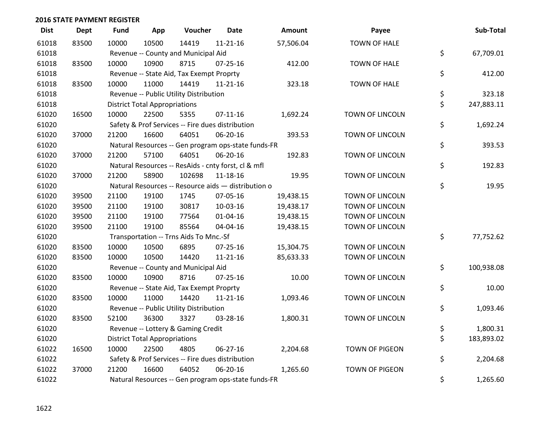| <b>Dist</b> | <b>Dept</b> | <b>Fund</b> | App                                  | Voucher                                             | <b>Date</b>    | <b>Amount</b> | Payee                  | Sub-Total        |
|-------------|-------------|-------------|--------------------------------------|-----------------------------------------------------|----------------|---------------|------------------------|------------------|
| 61018       | 83500       | 10000       | 10500                                | 14419                                               | $11 - 21 - 16$ | 57,506.04     | <b>TOWN OF HALE</b>    |                  |
| 61018       |             |             |                                      | Revenue -- County and Municipal Aid                 |                |               |                        | \$<br>67,709.01  |
| 61018       | 83500       | 10000       | 10900                                | 8715                                                | $07 - 25 - 16$ | 412.00        | <b>TOWN OF HALE</b>    |                  |
| 61018       |             |             |                                      | Revenue -- State Aid, Tax Exempt Proprty            |                |               |                        | \$<br>412.00     |
| 61018       | 83500       | 10000       | 11000                                | 14419                                               | $11 - 21 - 16$ | 323.18        | TOWN OF HALE           |                  |
| 61018       |             |             |                                      | Revenue -- Public Utility Distribution              |                |               |                        | \$<br>323.18     |
| 61018       |             |             | <b>District Total Appropriations</b> |                                                     |                |               |                        | \$<br>247,883.11 |
| 61020       | 16500       | 10000       | 22500                                | 5355                                                | $07 - 11 - 16$ | 1,692.24      | <b>TOWN OF LINCOLN</b> |                  |
| 61020       |             |             |                                      | Safety & Prof Services -- Fire dues distribution    |                |               |                        | \$<br>1,692.24   |
| 61020       | 37000       | 21200       | 16600                                | 64051                                               | 06-20-16       | 393.53        | TOWN OF LINCOLN        |                  |
| 61020       |             |             |                                      | Natural Resources -- Gen program ops-state funds-FR |                |               |                        | \$<br>393.53     |
| 61020       | 37000       | 21200       | 57100                                | 64051                                               | 06-20-16       | 192.83        | TOWN OF LINCOLN        |                  |
| 61020       |             |             |                                      | Natural Resources -- ResAids - cnty forst, cl & mfl |                |               |                        | \$<br>192.83     |
| 61020       | 37000       | 21200       | 58900                                | 102698                                              | 11-18-16       | 19.95         | TOWN OF LINCOLN        |                  |
| 61020       |             |             |                                      | Natural Resources -- Resource aids - distribution o |                |               |                        | \$<br>19.95      |
| 61020       | 39500       | 21100       | 19100                                | 1745                                                | 07-05-16       | 19,438.15     | TOWN OF LINCOLN        |                  |
| 61020       | 39500       | 21100       | 19100                                | 30817                                               | 10-03-16       | 19,438.17     | TOWN OF LINCOLN        |                  |
| 61020       | 39500       | 21100       | 19100                                | 77564                                               | $01 - 04 - 16$ | 19,438.15     | <b>TOWN OF LINCOLN</b> |                  |
| 61020       | 39500       | 21100       | 19100                                | 85564                                               | 04-04-16       | 19,438.15     | TOWN OF LINCOLN        |                  |
| 61020       |             |             |                                      | Transportation -- Trns Aids To Mnc.-Sf              |                |               |                        | \$<br>77,752.62  |
| 61020       | 83500       | 10000       | 10500                                | 6895                                                | $07 - 25 - 16$ | 15,304.75     | <b>TOWN OF LINCOLN</b> |                  |
| 61020       | 83500       | 10000       | 10500                                | 14420                                               | $11 - 21 - 16$ | 85,633.33     | TOWN OF LINCOLN        |                  |
| 61020       |             |             |                                      | Revenue -- County and Municipal Aid                 |                |               |                        | \$<br>100,938.08 |
| 61020       | 83500       | 10000       | 10900                                | 8716                                                | $07 - 25 - 16$ | 10.00         | TOWN OF LINCOLN        |                  |
| 61020       |             |             |                                      | Revenue -- State Aid, Tax Exempt Proprty            |                |               |                        | \$<br>10.00      |
| 61020       | 83500       | 10000       | 11000                                | 14420                                               | $11 - 21 - 16$ | 1,093.46      | TOWN OF LINCOLN        |                  |
| 61020       |             |             |                                      | Revenue -- Public Utility Distribution              |                |               |                        | \$<br>1,093.46   |
| 61020       | 83500       | 52100       | 36300                                | 3327                                                | 03-28-16       | 1,800.31      | TOWN OF LINCOLN        |                  |
| 61020       |             |             |                                      | Revenue -- Lottery & Gaming Credit                  |                |               |                        | \$<br>1,800.31   |
| 61020       |             |             | <b>District Total Appropriations</b> |                                                     |                |               |                        | \$<br>183,893.02 |
| 61022       | 16500       | 10000       | 22500                                | 4805                                                | 06-27-16       | 2,204.68      | <b>TOWN OF PIGEON</b>  |                  |
| 61022       |             |             |                                      | Safety & Prof Services -- Fire dues distribution    |                |               |                        | \$<br>2,204.68   |
| 61022       | 37000       | 21200       | 16600                                | 64052                                               | 06-20-16       | 1,265.60      | <b>TOWN OF PIGEON</b>  |                  |
| 61022       |             |             |                                      | Natural Resources -- Gen program ops-state funds-FR |                |               |                        | \$<br>1,265.60   |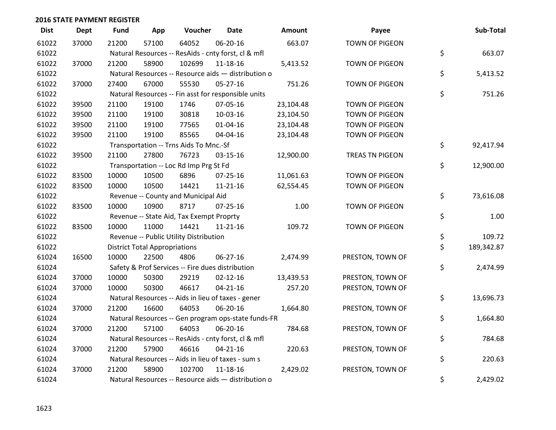| <b>Dist</b> | <b>Dept</b> | <b>Fund</b> | App                                  | Voucher                                             | <b>Date</b>    | Amount    | Payee                  | Sub-Total        |
|-------------|-------------|-------------|--------------------------------------|-----------------------------------------------------|----------------|-----------|------------------------|------------------|
| 61022       | 37000       | 21200       | 57100                                | 64052                                               | 06-20-16       | 663.07    | <b>TOWN OF PIGEON</b>  |                  |
| 61022       |             |             |                                      | Natural Resources -- ResAids - cnty forst, cl & mfl |                |           |                        | \$<br>663.07     |
| 61022       | 37000       | 21200       | 58900                                | 102699                                              | 11-18-16       | 5,413.52  | TOWN OF PIGEON         |                  |
| 61022       |             |             |                                      | Natural Resources -- Resource aids - distribution o |                |           |                        | \$<br>5,413.52   |
| 61022       | 37000       | 27400       | 67000                                | 55530                                               | 05-27-16       | 751.26    | TOWN OF PIGEON         |                  |
| 61022       |             |             |                                      | Natural Resources -- Fin asst for responsible units |                |           |                        | \$<br>751.26     |
| 61022       | 39500       | 21100       | 19100                                | 1746                                                | 07-05-16       | 23,104.48 | TOWN OF PIGEON         |                  |
| 61022       | 39500       | 21100       | 19100                                | 30818                                               | 10-03-16       | 23,104.50 | TOWN OF PIGEON         |                  |
| 61022       | 39500       | 21100       | 19100                                | 77565                                               | 01-04-16       | 23,104.48 | TOWN OF PIGEON         |                  |
| 61022       | 39500       | 21100       | 19100                                | 85565                                               | 04-04-16       | 23,104.48 | TOWN OF PIGEON         |                  |
| 61022       |             |             |                                      | Transportation -- Trns Aids To Mnc.-Sf              |                |           |                        | \$<br>92,417.94  |
| 61022       | 39500       | 21100       | 27800                                | 76723                                               | 03-15-16       | 12,900.00 | <b>TREAS TN PIGEON</b> |                  |
| 61022       |             |             |                                      | Transportation -- Loc Rd Imp Prg St Fd              |                |           |                        | \$<br>12,900.00  |
| 61022       | 83500       | 10000       | 10500                                | 6896                                                | $07 - 25 - 16$ | 11,061.63 | <b>TOWN OF PIGEON</b>  |                  |
| 61022       | 83500       | 10000       | 10500                                | 14421                                               | $11 - 21 - 16$ | 62,554.45 | TOWN OF PIGEON         |                  |
| 61022       |             |             |                                      | Revenue -- County and Municipal Aid                 |                |           |                        | \$<br>73,616.08  |
| 61022       | 83500       | 10000       | 10900                                | 8717                                                | $07 - 25 - 16$ | 1.00      | <b>TOWN OF PIGEON</b>  |                  |
| 61022       |             |             |                                      | Revenue -- State Aid, Tax Exempt Proprty            |                |           |                        | \$<br>1.00       |
| 61022       | 83500       | 10000       | 11000                                | 14421                                               | 11-21-16       | 109.72    | TOWN OF PIGEON         |                  |
| 61022       |             |             |                                      | Revenue -- Public Utility Distribution              |                |           |                        | \$<br>109.72     |
| 61022       |             |             | <b>District Total Appropriations</b> |                                                     |                |           |                        | \$<br>189,342.87 |
| 61024       | 16500       | 10000       | 22500                                | 4806                                                | $06 - 27 - 16$ | 2,474.99  | PRESTON, TOWN OF       |                  |
| 61024       |             |             |                                      | Safety & Prof Services -- Fire dues distribution    |                |           |                        | \$<br>2,474.99   |
| 61024       | 37000       | 10000       | 50300                                | 29219                                               | $02 - 12 - 16$ | 13,439.53 | PRESTON, TOWN OF       |                  |
| 61024       | 37000       | 10000       | 50300                                | 46617                                               | $04 - 21 - 16$ | 257.20    | PRESTON, TOWN OF       |                  |
| 61024       |             |             |                                      | Natural Resources -- Aids in lieu of taxes - gener  |                |           |                        | \$<br>13,696.73  |
| 61024       | 37000       | 21200       | 16600                                | 64053                                               | 06-20-16       | 1,664.80  | PRESTON, TOWN OF       |                  |
| 61024       |             |             |                                      | Natural Resources -- Gen program ops-state funds-FR |                |           |                        | \$<br>1,664.80   |
| 61024       | 37000       | 21200       | 57100                                | 64053                                               | 06-20-16       | 784.68    | PRESTON, TOWN OF       |                  |
| 61024       |             |             |                                      | Natural Resources -- ResAids - cnty forst, cl & mfl |                |           |                        | \$<br>784.68     |
| 61024       | 37000       | 21200       | 57900                                | 46616                                               | $04 - 21 - 16$ | 220.63    | PRESTON, TOWN OF       |                  |
| 61024       |             |             |                                      | Natural Resources -- Aids in lieu of taxes - sum s  |                |           |                        | \$<br>220.63     |
| 61024       | 37000       | 21200       | 58900                                | 102700                                              | $11 - 18 - 16$ | 2,429.02  | PRESTON, TOWN OF       |                  |
| 61024       |             |             |                                      | Natural Resources -- Resource aids - distribution o |                |           |                        | \$<br>2,429.02   |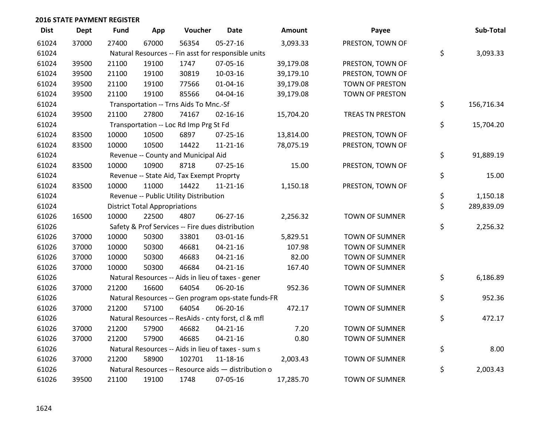| <b>Dist</b> | <b>Dept</b> | <b>Fund</b> | App                                  | Voucher                                             | <b>Date</b>    | <b>Amount</b> | Payee                  | Sub-Total        |
|-------------|-------------|-------------|--------------------------------------|-----------------------------------------------------|----------------|---------------|------------------------|------------------|
| 61024       | 37000       | 27400       | 67000                                | 56354                                               | $05 - 27 - 16$ | 3,093.33      | PRESTON, TOWN OF       |                  |
| 61024       |             |             |                                      | Natural Resources -- Fin asst for responsible units |                |               |                        | \$<br>3,093.33   |
| 61024       | 39500       | 21100       | 19100                                | 1747                                                | 07-05-16       | 39,179.08     | PRESTON, TOWN OF       |                  |
| 61024       | 39500       | 21100       | 19100                                | 30819                                               | 10-03-16       | 39,179.10     | PRESTON, TOWN OF       |                  |
| 61024       | 39500       | 21100       | 19100                                | 77566                                               | $01 - 04 - 16$ | 39,179.08     | <b>TOWN OF PRESTON</b> |                  |
| 61024       | 39500       | 21100       | 19100                                | 85566                                               | 04-04-16       | 39,179.08     | <b>TOWN OF PRESTON</b> |                  |
| 61024       |             |             |                                      | Transportation -- Trns Aids To Mnc.-Sf              |                |               |                        | \$<br>156,716.34 |
| 61024       | 39500       | 21100       | 27800                                | 74167                                               | $02 - 16 - 16$ | 15,704.20     | TREAS TN PRESTON       |                  |
| 61024       |             |             |                                      | Transportation -- Loc Rd Imp Prg St Fd              |                |               |                        | \$<br>15,704.20  |
| 61024       | 83500       | 10000       | 10500                                | 6897                                                | $07 - 25 - 16$ | 13,814.00     | PRESTON, TOWN OF       |                  |
| 61024       | 83500       | 10000       | 10500                                | 14422                                               | $11 - 21 - 16$ | 78,075.19     | PRESTON, TOWN OF       |                  |
| 61024       |             |             |                                      | Revenue -- County and Municipal Aid                 |                |               |                        | \$<br>91,889.19  |
| 61024       | 83500       | 10000       | 10900                                | 8718                                                | $07 - 25 - 16$ | 15.00         | PRESTON, TOWN OF       |                  |
| 61024       |             |             |                                      | Revenue -- State Aid, Tax Exempt Proprty            |                |               |                        | \$<br>15.00      |
| 61024       | 83500       | 10000       | 11000                                | 14422                                               | $11 - 21 - 16$ | 1,150.18      | PRESTON, TOWN OF       |                  |
| 61024       |             |             |                                      | Revenue -- Public Utility Distribution              |                |               |                        | \$<br>1,150.18   |
| 61024       |             |             | <b>District Total Appropriations</b> |                                                     |                |               |                        | \$<br>289,839.09 |
| 61026       | 16500       | 10000       | 22500                                | 4807                                                | $06 - 27 - 16$ | 2,256.32      | <b>TOWN OF SUMNER</b>  |                  |
| 61026       |             |             |                                      | Safety & Prof Services -- Fire dues distribution    |                |               |                        | \$<br>2,256.32   |
| 61026       | 37000       | 10000       | 50300                                | 33801                                               | 03-01-16       | 5,829.51      | <b>TOWN OF SUMNER</b>  |                  |
| 61026       | 37000       | 10000       | 50300                                | 46681                                               | $04 - 21 - 16$ | 107.98        | <b>TOWN OF SUMNER</b>  |                  |
| 61026       | 37000       | 10000       | 50300                                | 46683                                               | $04 - 21 - 16$ | 82.00         | <b>TOWN OF SUMNER</b>  |                  |
| 61026       | 37000       | 10000       | 50300                                | 46684                                               | $04 - 21 - 16$ | 167.40        | <b>TOWN OF SUMNER</b>  |                  |
| 61026       |             |             |                                      | Natural Resources -- Aids in lieu of taxes - gener  |                |               |                        | \$<br>6,186.89   |
| 61026       | 37000       | 21200       | 16600                                | 64054                                               | 06-20-16       | 952.36        | <b>TOWN OF SUMNER</b>  |                  |
| 61026       |             |             |                                      | Natural Resources -- Gen program ops-state funds-FR |                |               |                        | \$<br>952.36     |
| 61026       | 37000       | 21200       | 57100                                | 64054                                               | 06-20-16       | 472.17        | <b>TOWN OF SUMNER</b>  |                  |
| 61026       |             |             |                                      | Natural Resources -- ResAids - cnty forst, cl & mfl |                |               |                        | \$<br>472.17     |
| 61026       | 37000       | 21200       | 57900                                | 46682                                               | $04 - 21 - 16$ | 7.20          | <b>TOWN OF SUMNER</b>  |                  |
| 61026       | 37000       | 21200       | 57900                                | 46685                                               | $04 - 21 - 16$ | 0.80          | <b>TOWN OF SUMNER</b>  |                  |
| 61026       |             |             |                                      | Natural Resources -- Aids in lieu of taxes - sum s  |                |               |                        | \$<br>8.00       |
| 61026       | 37000       | 21200       | 58900                                | 102701                                              | 11-18-16       | 2,003.43      | <b>TOWN OF SUMNER</b>  |                  |
| 61026       |             |             |                                      | Natural Resources -- Resource aids - distribution o |                |               |                        | \$<br>2,003.43   |
| 61026       | 39500       | 21100       | 19100                                | 1748                                                | 07-05-16       | 17,285.70     | <b>TOWN OF SUMNER</b>  |                  |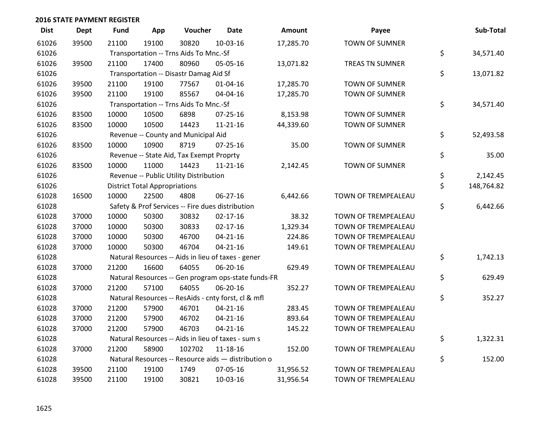| <b>Dist</b> | <b>Dept</b> | Fund  | App                                  | Voucher                                  | <b>Date</b>                                         | <b>Amount</b> | Payee                  | Sub-Total        |
|-------------|-------------|-------|--------------------------------------|------------------------------------------|-----------------------------------------------------|---------------|------------------------|------------------|
| 61026       | 39500       | 21100 | 19100                                | 30820                                    | 10-03-16                                            | 17,285.70     | <b>TOWN OF SUMNER</b>  |                  |
| 61026       |             |       |                                      | Transportation -- Trns Aids To Mnc.-Sf   |                                                     |               |                        | \$<br>34,571.40  |
| 61026       | 39500       | 21100 | 17400                                | 80960                                    | 05-05-16                                            | 13,071.82     | <b>TREAS TN SUMNER</b> |                  |
| 61026       |             |       |                                      | Transportation -- Disastr Damag Aid Sf   |                                                     |               |                        | \$<br>13,071.82  |
| 61026       | 39500       | 21100 | 19100                                | 77567                                    | $01 - 04 - 16$                                      | 17,285.70     | <b>TOWN OF SUMNER</b>  |                  |
| 61026       | 39500       | 21100 | 19100                                | 85567                                    | 04-04-16                                            | 17,285.70     | <b>TOWN OF SUMNER</b>  |                  |
| 61026       |             |       |                                      | Transportation -- Trns Aids To Mnc.-Sf   |                                                     |               |                        | \$<br>34,571.40  |
| 61026       | 83500       | 10000 | 10500                                | 6898                                     | 07-25-16                                            | 8,153.98      | TOWN OF SUMNER         |                  |
| 61026       | 83500       | 10000 | 10500                                | 14423                                    | $11 - 21 - 16$                                      | 44,339.60     | <b>TOWN OF SUMNER</b>  |                  |
| 61026       |             |       |                                      | Revenue -- County and Municipal Aid      |                                                     |               |                        | \$<br>52,493.58  |
| 61026       | 83500       | 10000 | 10900                                | 8719                                     | $07 - 25 - 16$                                      | 35.00         | <b>TOWN OF SUMNER</b>  |                  |
| 61026       |             |       |                                      | Revenue -- State Aid, Tax Exempt Proprty |                                                     |               |                        | \$<br>35.00      |
| 61026       | 83500       | 10000 | 11000                                | 14423                                    | $11 - 21 - 16$                                      | 2,142.45      | <b>TOWN OF SUMNER</b>  |                  |
| 61026       |             |       |                                      | Revenue -- Public Utility Distribution   |                                                     |               |                        | \$<br>2,142.45   |
| 61026       |             |       | <b>District Total Appropriations</b> |                                          |                                                     |               |                        | \$<br>148,764.82 |
| 61028       | 16500       | 10000 | 22500                                | 4808                                     | 06-27-16                                            | 6,442.66      | TOWN OF TREMPEALEAU    |                  |
| 61028       |             |       |                                      |                                          | Safety & Prof Services -- Fire dues distribution    |               |                        | \$<br>6,442.66   |
| 61028       | 37000       | 10000 | 50300                                | 30832                                    | $02 - 17 - 16$                                      | 38.32         | TOWN OF TREMPEALEAU    |                  |
| 61028       | 37000       | 10000 | 50300                                | 30833                                    | $02 - 17 - 16$                                      | 1,329.34      | TOWN OF TREMPEALEAU    |                  |
| 61028       | 37000       | 10000 | 50300                                | 46700                                    | $04 - 21 - 16$                                      | 224.86        | TOWN OF TREMPEALEAU    |                  |
| 61028       | 37000       | 10000 | 50300                                | 46704                                    | $04 - 21 - 16$                                      | 149.61        | TOWN OF TREMPEALEAU    |                  |
| 61028       |             |       |                                      |                                          | Natural Resources -- Aids in lieu of taxes - gener  |               |                        | \$<br>1,742.13   |
| 61028       | 37000       | 21200 | 16600                                | 64055                                    | 06-20-16                                            | 629.49        | TOWN OF TREMPEALEAU    |                  |
| 61028       |             |       |                                      |                                          | Natural Resources -- Gen program ops-state funds-FR |               |                        | \$<br>629.49     |
| 61028       | 37000       | 21200 | 57100                                | 64055                                    | 06-20-16                                            | 352.27        | TOWN OF TREMPEALEAU    |                  |
| 61028       |             |       |                                      |                                          | Natural Resources -- ResAids - cnty forst, cl & mfl |               |                        | \$<br>352.27     |
| 61028       | 37000       | 21200 | 57900                                | 46701                                    | $04 - 21 - 16$                                      | 283.45        | TOWN OF TREMPEALEAU    |                  |
| 61028       | 37000       | 21200 | 57900                                | 46702                                    | $04 - 21 - 16$                                      | 893.64        | TOWN OF TREMPEALEAU    |                  |
| 61028       | 37000       | 21200 | 57900                                | 46703                                    | $04 - 21 - 16$                                      | 145.22        | TOWN OF TREMPEALEAU    |                  |
| 61028       |             |       |                                      |                                          | Natural Resources -- Aids in lieu of taxes - sum s  |               |                        | \$<br>1,322.31   |
| 61028       | 37000       | 21200 | 58900                                | 102702                                   | 11-18-16                                            | 152.00        | TOWN OF TREMPEALEAU    |                  |
| 61028       |             |       |                                      |                                          | Natural Resources -- Resource aids - distribution o |               |                        | \$<br>152.00     |
| 61028       | 39500       | 21100 | 19100                                | 1749                                     | 07-05-16                                            | 31,956.52     | TOWN OF TREMPEALEAU    |                  |
| 61028       | 39500       | 21100 | 19100                                | 30821                                    | 10-03-16                                            | 31,956.54     | TOWN OF TREMPEALEAU    |                  |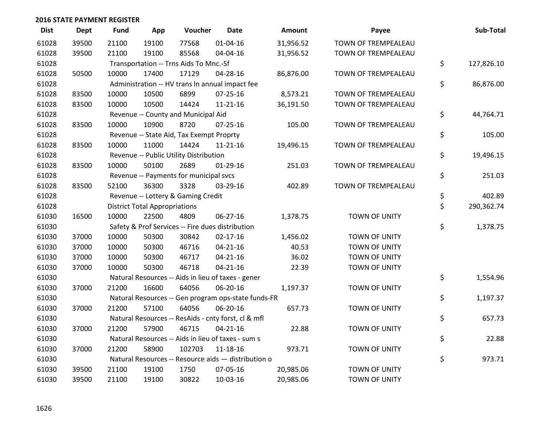| <b>Dist</b> | <b>Dept</b> | <b>Fund</b> | App                                  | Voucher                                          | <b>Date</b>                                         | <b>Amount</b> | Payee                | Sub-Total        |
|-------------|-------------|-------------|--------------------------------------|--------------------------------------------------|-----------------------------------------------------|---------------|----------------------|------------------|
| 61028       | 39500       | 21100       | 19100                                | 77568                                            | $01 - 04 - 16$                                      | 31,956.52     | TOWN OF TREMPEALEAU  |                  |
| 61028       | 39500       | 21100       | 19100                                | 85568                                            | 04-04-16                                            | 31,956.52     | TOWN OF TREMPEALEAU  |                  |
| 61028       |             |             |                                      | Transportation -- Trns Aids To Mnc.-Sf           |                                                     |               |                      | \$<br>127,826.10 |
| 61028       | 50500       | 10000       | 17400                                | 17129                                            | 04-28-16                                            | 86,876.00     | TOWN OF TREMPEALEAU  |                  |
| 61028       |             |             |                                      |                                                  | Administration -- HV trans In annual impact fee     |               |                      | \$<br>86,876.00  |
| 61028       | 83500       | 10000       | 10500                                | 6899                                             | $07 - 25 - 16$                                      | 8,573.21      | TOWN OF TREMPEALEAU  |                  |
| 61028       | 83500       | 10000       | 10500                                | 14424                                            | $11 - 21 - 16$                                      | 36,191.50     | TOWN OF TREMPEALEAU  |                  |
| 61028       |             |             |                                      | Revenue -- County and Municipal Aid              |                                                     |               |                      | \$<br>44,764.71  |
| 61028       | 83500       | 10000       | 10900                                | 8720                                             | $07 - 25 - 16$                                      | 105.00        | TOWN OF TREMPEALEAU  |                  |
| 61028       |             |             |                                      | Revenue -- State Aid, Tax Exempt Proprty         |                                                     |               |                      | \$<br>105.00     |
| 61028       | 83500       | 10000       | 11000                                | 14424                                            | $11 - 21 - 16$                                      | 19,496.15     | TOWN OF TREMPEALEAU  |                  |
| 61028       |             |             |                                      | Revenue -- Public Utility Distribution           |                                                     |               |                      | \$<br>19,496.15  |
| 61028       | 83500       | 10000       | 50100                                | 2689                                             | $01-29-16$                                          | 251.03        | TOWN OF TREMPEALEAU  |                  |
| 61028       |             |             |                                      | Revenue -- Payments for municipal svcs           |                                                     |               |                      | \$<br>251.03     |
| 61028       | 83500       | 52100       | 36300                                | 3328                                             | 03-29-16                                            | 402.89        | TOWN OF TREMPEALEAU  |                  |
| 61028       |             |             |                                      | Revenue -- Lottery & Gaming Credit               |                                                     |               |                      | \$<br>402.89     |
| 61028       |             |             | <b>District Total Appropriations</b> |                                                  |                                                     |               |                      | \$<br>290,362.74 |
| 61030       | 16500       | 10000       | 22500                                | 4809                                             | 06-27-16                                            | 1,378.75      | TOWN OF UNITY        |                  |
| 61030       |             |             |                                      | Safety & Prof Services -- Fire dues distribution |                                                     |               |                      | \$<br>1,378.75   |
| 61030       | 37000       | 10000       | 50300                                | 30842                                            | $02 - 17 - 16$                                      | 1,456.02      | <b>TOWN OF UNITY</b> |                  |
| 61030       | 37000       | 10000       | 50300                                | 46716                                            | $04 - 21 - 16$                                      | 40.53         | <b>TOWN OF UNITY</b> |                  |
| 61030       | 37000       | 10000       | 50300                                | 46717                                            | $04 - 21 - 16$                                      | 36.02         | TOWN OF UNITY        |                  |
| 61030       | 37000       | 10000       | 50300                                | 46718                                            | $04 - 21 - 16$                                      | 22.39         | TOWN OF UNITY        |                  |
| 61030       |             |             |                                      |                                                  | Natural Resources -- Aids in lieu of taxes - gener  |               |                      | \$<br>1,554.96   |
| 61030       | 37000       | 21200       | 16600                                | 64056                                            | 06-20-16                                            | 1,197.37      | TOWN OF UNITY        |                  |
| 61030       |             |             |                                      |                                                  | Natural Resources -- Gen program ops-state funds-FR |               |                      | \$<br>1,197.37   |
| 61030       | 37000       | 21200       | 57100                                | 64056                                            | 06-20-16                                            | 657.73        | <b>TOWN OF UNITY</b> |                  |
| 61030       |             |             |                                      |                                                  | Natural Resources -- ResAids - cnty forst, cl & mfl |               |                      | \$<br>657.73     |
| 61030       | 37000       | 21200       | 57900                                | 46715                                            | $04 - 21 - 16$                                      | 22.88         | TOWN OF UNITY        |                  |
| 61030       |             |             |                                      |                                                  | Natural Resources -- Aids in lieu of taxes - sum s  |               |                      | \$<br>22.88      |
| 61030       | 37000       | 21200       | 58900                                | 102703                                           | 11-18-16                                            | 973.71        | TOWN OF UNITY        |                  |
| 61030       |             |             |                                      |                                                  | Natural Resources -- Resource aids - distribution o |               |                      | \$<br>973.71     |
| 61030       | 39500       | 21100       | 19100                                | 1750                                             | 07-05-16                                            | 20,985.06     | <b>TOWN OF UNITY</b> |                  |
| 61030       | 39500       | 21100       | 19100                                | 30822                                            | 10-03-16                                            | 20,985.06     | <b>TOWN OF UNITY</b> |                  |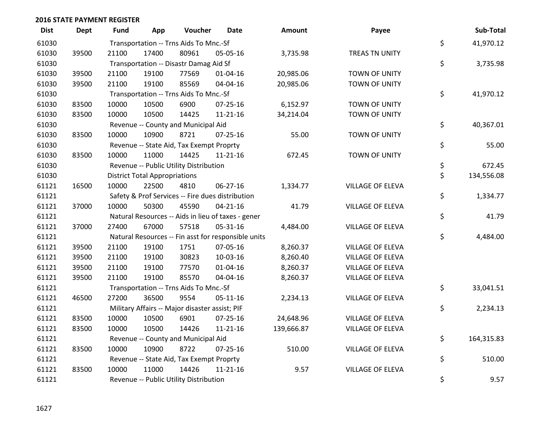| <b>Dist</b> | <b>Dept</b> | Fund  | App                                  | Voucher                                             | <b>Date</b>    | <b>Amount</b> | Payee                   | Sub-Total        |
|-------------|-------------|-------|--------------------------------------|-----------------------------------------------------|----------------|---------------|-------------------------|------------------|
| 61030       |             |       |                                      | Transportation -- Trns Aids To Mnc.-Sf              |                |               |                         | \$<br>41,970.12  |
| 61030       | 39500       | 21100 | 17400                                | 80961                                               | 05-05-16       | 3,735.98      | TREAS TN UNITY          |                  |
| 61030       |             |       |                                      | Transportation -- Disastr Damag Aid Sf              |                |               |                         | \$<br>3,735.98   |
| 61030       | 39500       | 21100 | 19100                                | 77569                                               | 01-04-16       | 20,985.06     | TOWN OF UNITY           |                  |
| 61030       | 39500       | 21100 | 19100                                | 85569                                               | 04-04-16       | 20,985.06     | TOWN OF UNITY           |                  |
| 61030       |             |       |                                      | Transportation -- Trns Aids To Mnc.-Sf              |                |               |                         | \$<br>41,970.12  |
| 61030       | 83500       | 10000 | 10500                                | 6900                                                | 07-25-16       | 6,152.97      | TOWN OF UNITY           |                  |
| 61030       | 83500       | 10000 | 10500                                | 14425                                               | $11 - 21 - 16$ | 34,214.04     | TOWN OF UNITY           |                  |
| 61030       |             |       |                                      | Revenue -- County and Municipal Aid                 |                |               |                         | \$<br>40,367.01  |
| 61030       | 83500       | 10000 | 10900                                | 8721                                                | 07-25-16       | 55.00         | TOWN OF UNITY           |                  |
| 61030       |             |       |                                      | Revenue -- State Aid, Tax Exempt Proprty            |                |               |                         | \$<br>55.00      |
| 61030       | 83500       | 10000 | 11000                                | 14425                                               | $11 - 21 - 16$ | 672.45        | TOWN OF UNITY           |                  |
| 61030       |             |       |                                      | Revenue -- Public Utility Distribution              |                |               |                         | \$<br>672.45     |
| 61030       |             |       | <b>District Total Appropriations</b> |                                                     |                |               |                         | \$<br>134,556.08 |
| 61121       | 16500       | 10000 | 22500                                | 4810                                                | 06-27-16       | 1,334.77      | VILLAGE OF ELEVA        |                  |
| 61121       |             |       |                                      | Safety & Prof Services -- Fire dues distribution    |                |               |                         | \$<br>1,334.77   |
| 61121       | 37000       | 10000 | 50300                                | 45590                                               | $04 - 21 - 16$ | 41.79         | <b>VILLAGE OF ELEVA</b> |                  |
| 61121       |             |       |                                      | Natural Resources -- Aids in lieu of taxes - gener  |                |               |                         | \$<br>41.79      |
| 61121       | 37000       | 27400 | 67000                                | 57518                                               | 05-31-16       | 4,484.00      | VILLAGE OF ELEVA        |                  |
| 61121       |             |       |                                      | Natural Resources -- Fin asst for responsible units |                |               |                         | \$<br>4,484.00   |
| 61121       | 39500       | 21100 | 19100                                | 1751                                                | 07-05-16       | 8,260.37      | VILLAGE OF ELEVA        |                  |
| 61121       | 39500       | 21100 | 19100                                | 30823                                               | 10-03-16       | 8,260.40      | VILLAGE OF ELEVA        |                  |
| 61121       | 39500       | 21100 | 19100                                | 77570                                               | $01 - 04 - 16$ | 8,260.37      | VILLAGE OF ELEVA        |                  |
| 61121       | 39500       | 21100 | 19100                                | 85570                                               | 04-04-16       | 8,260.37      | VILLAGE OF ELEVA        |                  |
| 61121       |             |       |                                      | Transportation -- Trns Aids To Mnc.-Sf              |                |               |                         | \$<br>33,041.51  |
| 61121       | 46500       | 27200 | 36500                                | 9554                                                | 05-11-16       | 2,234.13      | VILLAGE OF ELEVA        |                  |
| 61121       |             |       |                                      | Military Affairs -- Major disaster assist; PIF      |                |               |                         | \$<br>2,234.13   |
| 61121       | 83500       | 10000 | 10500                                | 6901                                                | 07-25-16       | 24,648.96     | VILLAGE OF ELEVA        |                  |
| 61121       | 83500       | 10000 | 10500                                | 14426                                               | $11 - 21 - 16$ | 139,666.87    | VILLAGE OF ELEVA        |                  |
| 61121       |             |       |                                      | Revenue -- County and Municipal Aid                 |                |               |                         | \$<br>164,315.83 |
| 61121       | 83500       | 10000 | 10900                                | 8722                                                | 07-25-16       | 510.00        | VILLAGE OF ELEVA        |                  |
| 61121       |             |       |                                      | Revenue -- State Aid, Tax Exempt Proprty            |                |               |                         | \$<br>510.00     |
| 61121       | 83500       | 10000 | 11000                                | 14426                                               | $11 - 21 - 16$ | 9.57          | <b>VILLAGE OF ELEVA</b> |                  |
| 61121       |             |       |                                      | Revenue -- Public Utility Distribution              |                |               |                         | \$<br>9.57       |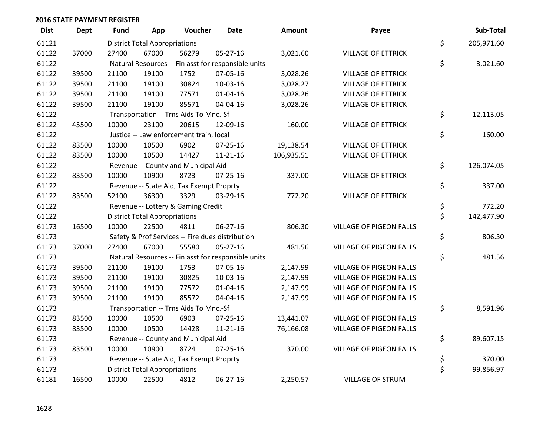| <b>Dist</b> | <b>Dept</b> | Fund  | App                                  | Voucher                                             | Date           | <b>Amount</b> | Payee                          | Sub-Total        |
|-------------|-------------|-------|--------------------------------------|-----------------------------------------------------|----------------|---------------|--------------------------------|------------------|
| 61121       |             |       | <b>District Total Appropriations</b> |                                                     |                |               |                                | \$<br>205,971.60 |
| 61122       | 37000       | 27400 | 67000                                | 56279                                               | 05-27-16       | 3,021.60      | <b>VILLAGE OF ETTRICK</b>      |                  |
| 61122       |             |       |                                      | Natural Resources -- Fin asst for responsible units |                |               |                                | \$<br>3,021.60   |
| 61122       | 39500       | 21100 | 19100                                | 1752                                                | 07-05-16       | 3,028.26      | <b>VILLAGE OF ETTRICK</b>      |                  |
| 61122       | 39500       | 21100 | 19100                                | 30824                                               | 10-03-16       | 3,028.27      | <b>VILLAGE OF ETTRICK</b>      |                  |
| 61122       | 39500       | 21100 | 19100                                | 77571                                               | $01 - 04 - 16$ | 3,028.26      | <b>VILLAGE OF ETTRICK</b>      |                  |
| 61122       | 39500       | 21100 | 19100                                | 85571                                               | 04-04-16       | 3,028.26      | <b>VILLAGE OF ETTRICK</b>      |                  |
| 61122       |             |       |                                      | Transportation -- Trns Aids To Mnc.-Sf              |                |               |                                | \$<br>12,113.05  |
| 61122       | 45500       | 10000 | 23100                                | 20615                                               | 12-09-16       | 160.00        | <b>VILLAGE OF ETTRICK</b>      |                  |
| 61122       |             |       |                                      | Justice -- Law enforcement train, local             |                |               |                                | \$<br>160.00     |
| 61122       | 83500       | 10000 | 10500                                | 6902                                                | $07 - 25 - 16$ | 19,138.54     | <b>VILLAGE OF ETTRICK</b>      |                  |
| 61122       | 83500       | 10000 | 10500                                | 14427                                               | $11 - 21 - 16$ | 106,935.51    | <b>VILLAGE OF ETTRICK</b>      |                  |
| 61122       |             |       |                                      | Revenue -- County and Municipal Aid                 |                |               |                                | \$<br>126,074.05 |
| 61122       | 83500       | 10000 | 10900                                | 8723                                                | $07 - 25 - 16$ | 337.00        | <b>VILLAGE OF ETTRICK</b>      |                  |
| 61122       |             |       |                                      | Revenue -- State Aid, Tax Exempt Proprty            |                |               |                                | \$<br>337.00     |
| 61122       | 83500       | 52100 | 36300                                | 3329                                                | 03-29-16       | 772.20        | <b>VILLAGE OF ETTRICK</b>      |                  |
| 61122       |             |       |                                      | Revenue -- Lottery & Gaming Credit                  |                |               |                                | \$<br>772.20     |
| 61122       |             |       | <b>District Total Appropriations</b> |                                                     |                |               |                                | \$<br>142,477.90 |
| 61173       | 16500       | 10000 | 22500                                | 4811                                                | 06-27-16       | 806.30        | VILLAGE OF PIGEON FALLS        |                  |
| 61173       |             |       |                                      | Safety & Prof Services -- Fire dues distribution    |                |               |                                | \$<br>806.30     |
| 61173       | 37000       | 27400 | 67000                                | 55580                                               | 05-27-16       | 481.56        | <b>VILLAGE OF PIGEON FALLS</b> |                  |
| 61173       |             |       |                                      | Natural Resources -- Fin asst for responsible units |                |               |                                | \$<br>481.56     |
| 61173       | 39500       | 21100 | 19100                                | 1753                                                | 07-05-16       | 2,147.99      | VILLAGE OF PIGEON FALLS        |                  |
| 61173       | 39500       | 21100 | 19100                                | 30825                                               | 10-03-16       | 2,147.99      | VILLAGE OF PIGEON FALLS        |                  |
| 61173       | 39500       | 21100 | 19100                                | 77572                                               | $01 - 04 - 16$ | 2,147.99      | <b>VILLAGE OF PIGEON FALLS</b> |                  |
| 61173       | 39500       | 21100 | 19100                                | 85572                                               | 04-04-16       | 2,147.99      | <b>VILLAGE OF PIGEON FALLS</b> |                  |
| 61173       |             |       |                                      | Transportation -- Trns Aids To Mnc.-Sf              |                |               |                                | \$<br>8,591.96   |
| 61173       | 83500       | 10000 | 10500                                | 6903                                                | 07-25-16       | 13,441.07     | <b>VILLAGE OF PIGEON FALLS</b> |                  |
| 61173       | 83500       | 10000 | 10500                                | 14428                                               | $11 - 21 - 16$ | 76,166.08     | <b>VILLAGE OF PIGEON FALLS</b> |                  |
| 61173       |             |       |                                      | Revenue -- County and Municipal Aid                 |                |               |                                | \$<br>89,607.15  |
| 61173       | 83500       | 10000 | 10900                                | 8724                                                | $07 - 25 - 16$ | 370.00        | <b>VILLAGE OF PIGEON FALLS</b> |                  |
| 61173       |             |       |                                      | Revenue -- State Aid, Tax Exempt Proprty            |                |               |                                | \$<br>370.00     |
| 61173       |             |       | <b>District Total Appropriations</b> |                                                     |                |               |                                | \$<br>99,856.97  |
| 61181       | 16500       | 10000 | 22500                                | 4812                                                | 06-27-16       | 2,250.57      | <b>VILLAGE OF STRUM</b>        |                  |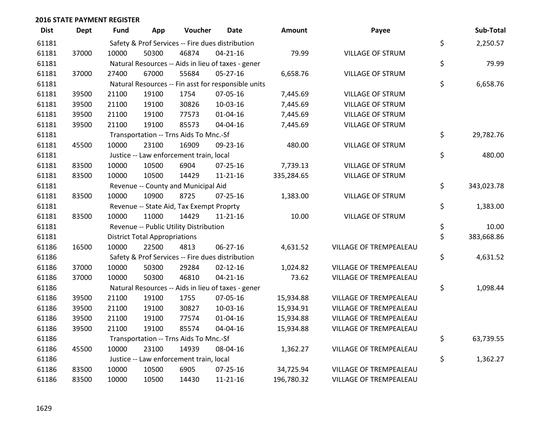| <b>Dist</b> | <b>Dept</b> | <b>Fund</b> | App                                  | Voucher                                  | <b>Date</b>                                         | <b>Amount</b> | Payee                   | Sub-Total        |
|-------------|-------------|-------------|--------------------------------------|------------------------------------------|-----------------------------------------------------|---------------|-------------------------|------------------|
| 61181       |             |             |                                      |                                          | Safety & Prof Services -- Fire dues distribution    |               |                         | \$<br>2,250.57   |
| 61181       | 37000       | 10000       | 50300                                | 46874                                    | $04 - 21 - 16$                                      | 79.99         | <b>VILLAGE OF STRUM</b> |                  |
| 61181       |             |             |                                      |                                          | Natural Resources -- Aids in lieu of taxes - gener  |               |                         | \$<br>79.99      |
| 61181       | 37000       | 27400       | 67000                                | 55684                                    | $05 - 27 - 16$                                      | 6,658.76      | <b>VILLAGE OF STRUM</b> |                  |
| 61181       |             |             |                                      |                                          | Natural Resources -- Fin asst for responsible units |               |                         | \$<br>6,658.76   |
| 61181       | 39500       | 21100       | 19100                                | 1754                                     | 07-05-16                                            | 7,445.69      | VILLAGE OF STRUM        |                  |
| 61181       | 39500       | 21100       | 19100                                | 30826                                    | 10-03-16                                            | 7,445.69      | VILLAGE OF STRUM        |                  |
| 61181       | 39500       | 21100       | 19100                                | 77573                                    | $01 - 04 - 16$                                      | 7,445.69      | VILLAGE OF STRUM        |                  |
| 61181       | 39500       | 21100       | 19100                                | 85573                                    | 04-04-16                                            | 7,445.69      | VILLAGE OF STRUM        |                  |
| 61181       |             |             |                                      | Transportation -- Trns Aids To Mnc.-Sf   |                                                     |               |                         | \$<br>29,782.76  |
| 61181       | 45500       | 10000       | 23100                                | 16909                                    | 09-23-16                                            | 480.00        | <b>VILLAGE OF STRUM</b> |                  |
| 61181       |             |             |                                      | Justice -- Law enforcement train, local  |                                                     |               |                         | \$<br>480.00     |
| 61181       | 83500       | 10000       | 10500                                | 6904                                     | 07-25-16                                            | 7,739.13      | <b>VILLAGE OF STRUM</b> |                  |
| 61181       | 83500       | 10000       | 10500                                | 14429                                    | $11 - 21 - 16$                                      | 335,284.65    | <b>VILLAGE OF STRUM</b> |                  |
| 61181       |             |             |                                      | Revenue -- County and Municipal Aid      |                                                     |               |                         | \$<br>343,023.78 |
| 61181       | 83500       | 10000       | 10900                                | 8725                                     | 07-25-16                                            | 1,383.00      | <b>VILLAGE OF STRUM</b> |                  |
| 61181       |             |             |                                      | Revenue -- State Aid, Tax Exempt Proprty |                                                     |               |                         | \$<br>1,383.00   |
| 61181       | 83500       | 10000       | 11000                                | 14429                                    | $11 - 21 - 16$                                      | 10.00         | <b>VILLAGE OF STRUM</b> |                  |
| 61181       |             |             |                                      | Revenue -- Public Utility Distribution   |                                                     |               |                         | \$<br>10.00      |
| 61181       |             |             | <b>District Total Appropriations</b> |                                          |                                                     |               |                         | \$<br>383,668.86 |
| 61186       | 16500       | 10000       | 22500                                | 4813                                     | 06-27-16                                            | 4,631.52      | VILLAGE OF TREMPEALEAU  |                  |
| 61186       |             |             |                                      |                                          | Safety & Prof Services -- Fire dues distribution    |               |                         | \$<br>4,631.52   |
| 61186       | 37000       | 10000       | 50300                                | 29284                                    | $02 - 12 - 16$                                      | 1,024.82      | VILLAGE OF TREMPEALEAU  |                  |
| 61186       | 37000       | 10000       | 50300                                | 46810                                    | $04 - 21 - 16$                                      | 73.62         | VILLAGE OF TREMPEALEAU  |                  |
| 61186       |             |             |                                      |                                          | Natural Resources -- Aids in lieu of taxes - gener  |               |                         | \$<br>1,098.44   |
| 61186       | 39500       | 21100       | 19100                                | 1755                                     | 07-05-16                                            | 15,934.88     | VILLAGE OF TREMPEALEAU  |                  |
| 61186       | 39500       | 21100       | 19100                                | 30827                                    | 10-03-16                                            | 15,934.91     | VILLAGE OF TREMPEALEAU  |                  |
| 61186       | 39500       | 21100       | 19100                                | 77574                                    | 01-04-16                                            | 15,934.88     | VILLAGE OF TREMPEALEAU  |                  |
| 61186       | 39500       | 21100       | 19100                                | 85574                                    | 04-04-16                                            | 15,934.88     | VILLAGE OF TREMPEALEAU  |                  |
| 61186       |             |             |                                      | Transportation -- Trns Aids To Mnc.-Sf   |                                                     |               |                         | \$<br>63,739.55  |
| 61186       | 45500       | 10000       | 23100                                | 14939                                    | 08-04-16                                            | 1,362.27      | VILLAGE OF TREMPEALEAU  |                  |
| 61186       |             |             |                                      | Justice -- Law enforcement train, local  |                                                     |               |                         | \$<br>1,362.27   |
| 61186       | 83500       | 10000       | 10500                                | 6905                                     | 07-25-16                                            | 34,725.94     | VILLAGE OF TREMPEALEAU  |                  |
| 61186       | 83500       | 10000       | 10500                                | 14430                                    | 11-21-16                                            | 196,780.32    | VILLAGE OF TREMPEALEAU  |                  |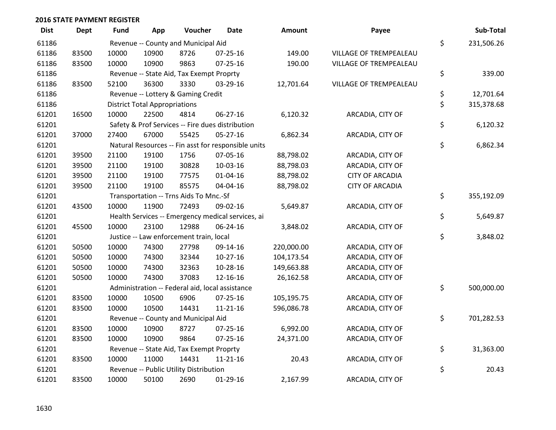| <b>Dist</b> | <b>Dept</b> | <b>Fund</b> | App                                  | Voucher                                         | <b>Date</b>                                         | <b>Amount</b> | Payee                  | Sub-Total        |
|-------------|-------------|-------------|--------------------------------------|-------------------------------------------------|-----------------------------------------------------|---------------|------------------------|------------------|
| 61186       |             |             |                                      | Revenue -- County and Municipal Aid             |                                                     |               |                        | \$<br>231,506.26 |
| 61186       | 83500       | 10000       | 10900                                | 8726                                            | $07 - 25 - 16$                                      | 149.00        | VILLAGE OF TREMPEALEAU |                  |
| 61186       | 83500       | 10000       | 10900                                | 9863                                            | $07 - 25 - 16$                                      | 190.00        | VILLAGE OF TREMPEALEAU |                  |
| 61186       |             |             |                                      | Revenue -- State Aid, Tax Exempt Proprty        |                                                     |               |                        | \$<br>339.00     |
| 61186       | 83500       | 52100       | 36300                                | 3330                                            | 03-29-16                                            | 12,701.64     | VILLAGE OF TREMPEALEAU |                  |
| 61186       |             |             |                                      | Revenue -- Lottery & Gaming Credit              |                                                     |               |                        | \$<br>12,701.64  |
| 61186       |             |             | <b>District Total Appropriations</b> |                                                 |                                                     |               |                        | \$<br>315,378.68 |
| 61201       | 16500       | 10000       | 22500                                | 4814                                            | 06-27-16                                            | 6,120.32      | ARCADIA, CITY OF       |                  |
| 61201       |             |             |                                      |                                                 | Safety & Prof Services -- Fire dues distribution    |               |                        | \$<br>6,120.32   |
| 61201       | 37000       | 27400       | 67000                                | 55425                                           | 05-27-16                                            | 6,862.34      | ARCADIA, CITY OF       |                  |
| 61201       |             |             |                                      |                                                 | Natural Resources -- Fin asst for responsible units |               |                        | \$<br>6,862.34   |
| 61201       | 39500       | 21100       | 19100                                | 1756                                            | 07-05-16                                            | 88,798.02     | ARCADIA, CITY OF       |                  |
| 61201       | 39500       | 21100       | 19100                                | 30828                                           | 10-03-16                                            | 88,798.03     | ARCADIA, CITY OF       |                  |
| 61201       | 39500       | 21100       | 19100                                | 77575                                           | $01 - 04 - 16$                                      | 88,798.02     | <b>CITY OF ARCADIA</b> |                  |
| 61201       | 39500       | 21100       | 19100                                | 85575                                           | 04-04-16                                            | 88,798.02     | <b>CITY OF ARCADIA</b> |                  |
| 61201       |             |             |                                      | Transportation -- Trns Aids To Mnc.-Sf          |                                                     |               |                        | \$<br>355,192.09 |
| 61201       | 43500       | 10000       | 11900                                | 72493                                           | 09-02-16                                            | 5,649.87      | ARCADIA, CITY OF       |                  |
| 61201       |             |             |                                      |                                                 | Health Services -- Emergency medical services, ai   |               |                        | \$<br>5,649.87   |
| 61201       | 45500       | 10000       | 23100                                | 12988                                           | 06-24-16                                            | 3,848.02      | ARCADIA, CITY OF       |                  |
| 61201       |             |             |                                      | Justice -- Law enforcement train, local         |                                                     |               |                        | \$<br>3,848.02   |
| 61201       | 50500       | 10000       | 74300                                | 27798                                           | 09-14-16                                            | 220,000.00    | ARCADIA, CITY OF       |                  |
| 61201       | 50500       | 10000       | 74300                                | 32344                                           | $10-27-16$                                          | 104,173.54    | ARCADIA, CITY OF       |                  |
| 61201       | 50500       | 10000       | 74300                                | 32363                                           | 10-28-16                                            | 149,663.88    | ARCADIA, CITY OF       |                  |
| 61201       | 50500       | 10000       | 74300                                | 37083                                           | 12-16-16                                            | 26,162.58     | ARCADIA, CITY OF       |                  |
| 61201       |             |             |                                      | Administration -- Federal aid, local assistance |                                                     |               |                        | \$<br>500,000.00 |
| 61201       | 83500       | 10000       | 10500                                | 6906                                            | 07-25-16                                            | 105,195.75    | ARCADIA, CITY OF       |                  |
| 61201       | 83500       | 10000       | 10500                                | 14431                                           | $11 - 21 - 16$                                      | 596,086.78    | ARCADIA, CITY OF       |                  |
| 61201       |             |             |                                      | Revenue -- County and Municipal Aid             |                                                     |               |                        | \$<br>701,282.53 |
| 61201       | 83500       | 10000       | 10900                                | 8727                                            | 07-25-16                                            | 6,992.00      | ARCADIA, CITY OF       |                  |
| 61201       | 83500       | 10000       | 10900                                | 9864                                            | $07 - 25 - 16$                                      | 24,371.00     | ARCADIA, CITY OF       |                  |
| 61201       |             |             |                                      | Revenue -- State Aid, Tax Exempt Proprty        |                                                     |               |                        | \$<br>31,363.00  |
| 61201       | 83500       | 10000       | 11000                                | 14431                                           | $11 - 21 - 16$                                      | 20.43         | ARCADIA, CITY OF       |                  |
| 61201       |             |             |                                      | Revenue -- Public Utility Distribution          |                                                     |               |                        | \$<br>20.43      |
| 61201       | 83500       | 10000       | 50100                                | 2690                                            | 01-29-16                                            | 2,167.99      | ARCADIA, CITY OF       |                  |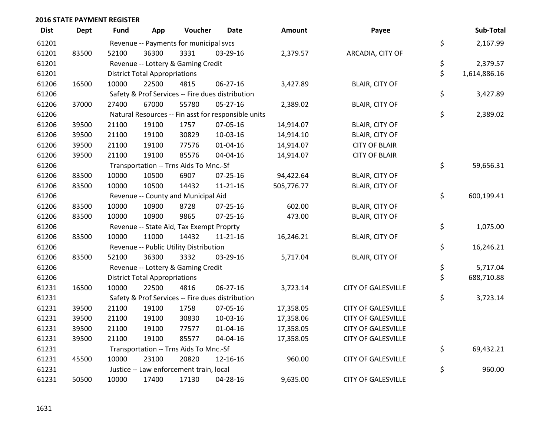| <b>Dist</b> | <b>Dept</b> | <b>Fund</b> | App                                  | Voucher                                  | Date                                                | Amount     | Payee                     | Sub-Total          |
|-------------|-------------|-------------|--------------------------------------|------------------------------------------|-----------------------------------------------------|------------|---------------------------|--------------------|
| 61201       |             |             |                                      | Revenue -- Payments for municipal svcs   |                                                     |            |                           | \$<br>2,167.99     |
| 61201       | 83500       | 52100       | 36300                                | 3331                                     | 03-29-16                                            | 2,379.57   | ARCADIA, CITY OF          |                    |
| 61201       |             |             |                                      | Revenue -- Lottery & Gaming Credit       |                                                     |            |                           | \$<br>2,379.57     |
| 61201       |             |             | <b>District Total Appropriations</b> |                                          |                                                     |            |                           | \$<br>1,614,886.16 |
| 61206       | 16500       | 10000       | 22500                                | 4815                                     | 06-27-16                                            | 3,427.89   | <b>BLAIR, CITY OF</b>     |                    |
| 61206       |             |             |                                      |                                          | Safety & Prof Services -- Fire dues distribution    |            |                           | \$<br>3,427.89     |
| 61206       | 37000       | 27400       | 67000                                | 55780                                    | $05 - 27 - 16$                                      | 2,389.02   | <b>BLAIR, CITY OF</b>     |                    |
| 61206       |             |             |                                      |                                          | Natural Resources -- Fin asst for responsible units |            |                           | \$<br>2,389.02     |
| 61206       | 39500       | 21100       | 19100                                | 1757                                     | 07-05-16                                            | 14,914.07  | <b>BLAIR, CITY OF</b>     |                    |
| 61206       | 39500       | 21100       | 19100                                | 30829                                    | 10-03-16                                            | 14,914.10  | <b>BLAIR, CITY OF</b>     |                    |
| 61206       | 39500       | 21100       | 19100                                | 77576                                    | $01 - 04 - 16$                                      | 14,914.07  | <b>CITY OF BLAIR</b>      |                    |
| 61206       | 39500       | 21100       | 19100                                | 85576                                    | 04-04-16                                            | 14,914.07  | <b>CITY OF BLAIR</b>      |                    |
| 61206       |             |             |                                      | Transportation -- Trns Aids To Mnc.-Sf   |                                                     |            |                           | \$<br>59,656.31    |
| 61206       | 83500       | 10000       | 10500                                | 6907                                     | $07 - 25 - 16$                                      | 94,422.64  | <b>BLAIR, CITY OF</b>     |                    |
| 61206       | 83500       | 10000       | 10500                                | 14432                                    | $11 - 21 - 16$                                      | 505,776.77 | <b>BLAIR, CITY OF</b>     |                    |
| 61206       |             |             |                                      | Revenue -- County and Municipal Aid      |                                                     |            |                           | \$<br>600,199.41   |
| 61206       | 83500       | 10000       | 10900                                | 8728                                     | 07-25-16                                            | 602.00     | <b>BLAIR, CITY OF</b>     |                    |
| 61206       | 83500       | 10000       | 10900                                | 9865                                     | 07-25-16                                            | 473.00     | <b>BLAIR, CITY OF</b>     |                    |
| 61206       |             |             |                                      | Revenue -- State Aid, Tax Exempt Proprty |                                                     |            |                           | \$<br>1,075.00     |
| 61206       | 83500       | 10000       | 11000                                | 14432                                    | 11-21-16                                            | 16,246.21  | <b>BLAIR, CITY OF</b>     |                    |
| 61206       |             |             |                                      | Revenue -- Public Utility Distribution   |                                                     |            |                           | \$<br>16,246.21    |
| 61206       | 83500       | 52100       | 36300                                | 3332                                     | 03-29-16                                            | 5,717.04   | <b>BLAIR, CITY OF</b>     |                    |
| 61206       |             |             |                                      | Revenue -- Lottery & Gaming Credit       |                                                     |            |                           | \$<br>5,717.04     |
| 61206       |             |             | <b>District Total Appropriations</b> |                                          |                                                     |            |                           | \$<br>688,710.88   |
| 61231       | 16500       | 10000       | 22500                                | 4816                                     | 06-27-16                                            | 3,723.14   | <b>CITY OF GALESVILLE</b> |                    |
| 61231       |             |             |                                      |                                          | Safety & Prof Services -- Fire dues distribution    |            |                           | \$<br>3,723.14     |
| 61231       | 39500       | 21100       | 19100                                | 1758                                     | 07-05-16                                            | 17,358.05  | <b>CITY OF GALESVILLE</b> |                    |
| 61231       | 39500       | 21100       | 19100                                | 30830                                    | 10-03-16                                            | 17,358.06  | <b>CITY OF GALESVILLE</b> |                    |
| 61231       | 39500       | 21100       | 19100                                | 77577                                    | $01 - 04 - 16$                                      | 17,358.05  | <b>CITY OF GALESVILLE</b> |                    |
| 61231       | 39500       | 21100       | 19100                                | 85577                                    | 04-04-16                                            | 17,358.05  | <b>CITY OF GALESVILLE</b> |                    |
| 61231       |             |             |                                      | Transportation -- Trns Aids To Mnc.-Sf   |                                                     |            |                           | \$<br>69,432.21    |
| 61231       | 45500       | 10000       | 23100                                | 20820                                    | 12-16-16                                            | 960.00     | <b>CITY OF GALESVILLE</b> |                    |
| 61231       |             |             |                                      | Justice -- Law enforcement train, local  |                                                     |            |                           | \$<br>960.00       |
| 61231       | 50500       | 10000       | 17400                                | 17130                                    | 04-28-16                                            | 9,635.00   | <b>CITY OF GALESVILLE</b> |                    |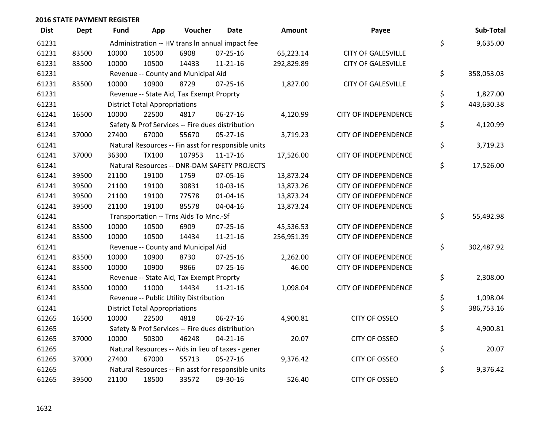| <b>Dist</b> | <b>Dept</b> | <b>Fund</b> | App                                  | Voucher                                  | Date                                                | Amount     | Payee                       | Sub-Total        |
|-------------|-------------|-------------|--------------------------------------|------------------------------------------|-----------------------------------------------------|------------|-----------------------------|------------------|
| 61231       |             |             |                                      |                                          | Administration -- HV trans In annual impact fee     |            |                             | \$<br>9,635.00   |
| 61231       | 83500       | 10000       | 10500                                | 6908                                     | $07 - 25 - 16$                                      | 65,223.14  | <b>CITY OF GALESVILLE</b>   |                  |
| 61231       | 83500       | 10000       | 10500                                | 14433                                    | $11 - 21 - 16$                                      | 292,829.89 | <b>CITY OF GALESVILLE</b>   |                  |
| 61231       |             |             |                                      | Revenue -- County and Municipal Aid      |                                                     |            |                             | \$<br>358,053.03 |
| 61231       | 83500       | 10000       | 10900                                | 8729                                     | $07 - 25 - 16$                                      | 1,827.00   | <b>CITY OF GALESVILLE</b>   |                  |
| 61231       |             |             |                                      | Revenue -- State Aid, Tax Exempt Proprty |                                                     |            |                             | \$<br>1,827.00   |
| 61231       |             |             | <b>District Total Appropriations</b> |                                          |                                                     |            |                             | \$<br>443,630.38 |
| 61241       | 16500       | 10000       | 22500                                | 4817                                     | 06-27-16                                            | 4,120.99   | <b>CITY OF INDEPENDENCE</b> |                  |
| 61241       |             |             |                                      |                                          | Safety & Prof Services -- Fire dues distribution    |            |                             | \$<br>4,120.99   |
| 61241       | 37000       | 27400       | 67000                                | 55670                                    | 05-27-16                                            | 3,719.23   | <b>CITY OF INDEPENDENCE</b> |                  |
| 61241       |             |             |                                      |                                          | Natural Resources -- Fin asst for responsible units |            |                             | \$<br>3,719.23   |
| 61241       | 37000       | 36300       | <b>TX100</b>                         | 107953                                   | $11 - 17 - 16$                                      | 17,526.00  | <b>CITY OF INDEPENDENCE</b> |                  |
| 61241       |             |             |                                      |                                          | Natural Resources -- DNR-DAM SAFETY PROJECTS        |            |                             | \$<br>17,526.00  |
| 61241       | 39500       | 21100       | 19100                                | 1759                                     | 07-05-16                                            | 13,873.24  | <b>CITY OF INDEPENDENCE</b> |                  |
| 61241       | 39500       | 21100       | 19100                                | 30831                                    | 10-03-16                                            | 13,873.26  | <b>CITY OF INDEPENDENCE</b> |                  |
| 61241       | 39500       | 21100       | 19100                                | 77578                                    | $01 - 04 - 16$                                      | 13,873.24  | <b>CITY OF INDEPENDENCE</b> |                  |
| 61241       | 39500       | 21100       | 19100                                | 85578                                    | 04-04-16                                            | 13,873.24  | <b>CITY OF INDEPENDENCE</b> |                  |
| 61241       |             |             |                                      | Transportation -- Trns Aids To Mnc.-Sf   |                                                     |            |                             | \$<br>55,492.98  |
| 61241       | 83500       | 10000       | 10500                                | 6909                                     | 07-25-16                                            | 45,536.53  | <b>CITY OF INDEPENDENCE</b> |                  |
| 61241       | 83500       | 10000       | 10500                                | 14434                                    | $11 - 21 - 16$                                      | 256,951.39 | <b>CITY OF INDEPENDENCE</b> |                  |
| 61241       |             |             |                                      | Revenue -- County and Municipal Aid      |                                                     |            |                             | \$<br>302,487.92 |
| 61241       | 83500       | 10000       | 10900                                | 8730                                     | 07-25-16                                            | 2,262.00   | <b>CITY OF INDEPENDENCE</b> |                  |
| 61241       | 83500       | 10000       | 10900                                | 9866                                     | 07-25-16                                            | 46.00      | <b>CITY OF INDEPENDENCE</b> |                  |
| 61241       |             |             |                                      | Revenue -- State Aid, Tax Exempt Proprty |                                                     |            |                             | \$<br>2,308.00   |
| 61241       | 83500       | 10000       | 11000                                | 14434                                    | $11 - 21 - 16$                                      | 1,098.04   | <b>CITY OF INDEPENDENCE</b> |                  |
| 61241       |             |             |                                      | Revenue -- Public Utility Distribution   |                                                     |            |                             | \$<br>1,098.04   |
| 61241       |             |             | <b>District Total Appropriations</b> |                                          |                                                     |            |                             | \$<br>386,753.16 |
| 61265       | 16500       | 10000       | 22500                                | 4818                                     | 06-27-16                                            | 4,900.81   | <b>CITY OF OSSEO</b>        |                  |
| 61265       |             |             |                                      |                                          | Safety & Prof Services -- Fire dues distribution    |            |                             | \$<br>4,900.81   |
| 61265       | 37000       | 10000       | 50300                                | 46248                                    | $04 - 21 - 16$                                      | 20.07      | <b>CITY OF OSSEO</b>        |                  |
| 61265       |             |             |                                      |                                          | Natural Resources -- Aids in lieu of taxes - gener  |            |                             | \$<br>20.07      |
| 61265       | 37000       | 27400       | 67000                                | 55713                                    | $05 - 27 - 16$                                      | 9,376.42   | <b>CITY OF OSSEO</b>        |                  |
| 61265       |             |             |                                      |                                          | Natural Resources -- Fin asst for responsible units |            |                             | \$<br>9,376.42   |
| 61265       | 39500       | 21100       | 18500                                | 33572                                    | 09-30-16                                            | 526.40     | <b>CITY OF OSSEO</b>        |                  |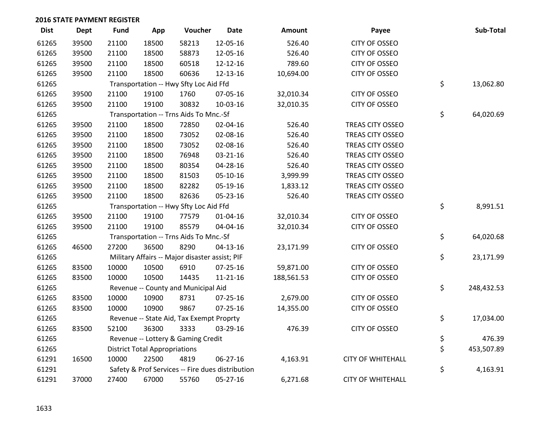| <b>Dist</b> | <b>Dept</b> | <b>Fund</b> | App                                  | Voucher                                        | <b>Date</b>                                      | <b>Amount</b> | Payee                    | Sub-Total        |
|-------------|-------------|-------------|--------------------------------------|------------------------------------------------|--------------------------------------------------|---------------|--------------------------|------------------|
| 61265       | 39500       | 21100       | 18500                                | 58213                                          | 12-05-16                                         | 526.40        | <b>CITY OF OSSEO</b>     |                  |
| 61265       | 39500       | 21100       | 18500                                | 58873                                          | 12-05-16                                         | 526.40        | <b>CITY OF OSSEO</b>     |                  |
| 61265       | 39500       | 21100       | 18500                                | 60518                                          | 12-12-16                                         | 789.60        | <b>CITY OF OSSEO</b>     |                  |
| 61265       | 39500       | 21100       | 18500                                | 60636                                          | 12-13-16                                         | 10,694.00     | <b>CITY OF OSSEO</b>     |                  |
| 61265       |             |             |                                      | Transportation -- Hwy Sfty Loc Aid Ffd         |                                                  |               |                          | \$<br>13,062.80  |
| 61265       | 39500       | 21100       | 19100                                | 1760                                           | 07-05-16                                         | 32,010.34     | <b>CITY OF OSSEO</b>     |                  |
| 61265       | 39500       | 21100       | 19100                                | 30832                                          | 10-03-16                                         | 32,010.35     | CITY OF OSSEO            |                  |
| 61265       |             |             |                                      | Transportation -- Trns Aids To Mnc.-Sf         |                                                  |               |                          | \$<br>64,020.69  |
| 61265       | 39500       | 21100       | 18500                                | 72850                                          | 02-04-16                                         | 526.40        | TREAS CITY OSSEO         |                  |
| 61265       | 39500       | 21100       | 18500                                | 73052                                          | 02-08-16                                         | 526.40        | TREAS CITY OSSEO         |                  |
| 61265       | 39500       | 21100       | 18500                                | 73052                                          | 02-08-16                                         | 526.40        | TREAS CITY OSSEO         |                  |
| 61265       | 39500       | 21100       | 18500                                | 76948                                          | 03-21-16                                         | 526.40        | TREAS CITY OSSEO         |                  |
| 61265       | 39500       | 21100       | 18500                                | 80354                                          | 04-28-16                                         | 526.40        | <b>TREAS CITY OSSEO</b>  |                  |
| 61265       | 39500       | 21100       | 18500                                | 81503                                          | 05-10-16                                         | 3,999.99      | TREAS CITY OSSEO         |                  |
| 61265       | 39500       | 21100       | 18500                                | 82282                                          | 05-19-16                                         | 1,833.12      | <b>TREAS CITY OSSEO</b>  |                  |
| 61265       | 39500       | 21100       | 18500                                | 82636                                          | 05-23-16                                         | 526.40        | TREAS CITY OSSEO         |                  |
| 61265       |             |             |                                      | Transportation -- Hwy Sfty Loc Aid Ffd         |                                                  |               |                          | \$<br>8,991.51   |
| 61265       | 39500       | 21100       | 19100                                | 77579                                          | 01-04-16                                         | 32,010.34     | CITY OF OSSEO            |                  |
| 61265       | 39500       | 21100       | 19100                                | 85579                                          | 04-04-16                                         | 32,010.34     | <b>CITY OF OSSEO</b>     |                  |
| 61265       |             |             |                                      | Transportation -- Trns Aids To Mnc.-Sf         |                                                  |               |                          | \$<br>64,020.68  |
| 61265       | 46500       | 27200       | 36500                                | 8290                                           | $04-13-16$                                       | 23,171.99     | <b>CITY OF OSSEO</b>     |                  |
| 61265       |             |             |                                      | Military Affairs -- Major disaster assist; PIF |                                                  |               |                          | \$<br>23,171.99  |
| 61265       | 83500       | 10000       | 10500                                | 6910                                           | 07-25-16                                         | 59,871.00     | <b>CITY OF OSSEO</b>     |                  |
| 61265       | 83500       | 10000       | 10500                                | 14435                                          | $11 - 21 - 16$                                   | 188,561.53    | CITY OF OSSEO            |                  |
| 61265       |             |             |                                      | Revenue -- County and Municipal Aid            |                                                  |               |                          | \$<br>248,432.53 |
| 61265       | 83500       | 10000       | 10900                                | 8731                                           | $07 - 25 - 16$                                   | 2,679.00      | <b>CITY OF OSSEO</b>     |                  |
| 61265       | 83500       | 10000       | 10900                                | 9867                                           | 07-25-16                                         | 14,355.00     | <b>CITY OF OSSEO</b>     |                  |
| 61265       |             |             |                                      | Revenue -- State Aid, Tax Exempt Proprty       |                                                  |               |                          | \$<br>17,034.00  |
| 61265       | 83500       | 52100       | 36300                                | 3333                                           | 03-29-16                                         | 476.39        | <b>CITY OF OSSEO</b>     |                  |
| 61265       |             |             |                                      | Revenue -- Lottery & Gaming Credit             |                                                  |               |                          | \$<br>476.39     |
| 61265       |             |             | <b>District Total Appropriations</b> |                                                |                                                  |               |                          | \$<br>453,507.89 |
| 61291       | 16500       | 10000       | 22500                                | 4819                                           | 06-27-16                                         | 4,163.91      | <b>CITY OF WHITEHALL</b> |                  |
| 61291       |             |             |                                      |                                                | Safety & Prof Services -- Fire dues distribution |               |                          | \$<br>4,163.91   |
| 61291       | 37000       | 27400       | 67000                                | 55760                                          | 05-27-16                                         | 6,271.68      | <b>CITY OF WHITEHALL</b> |                  |